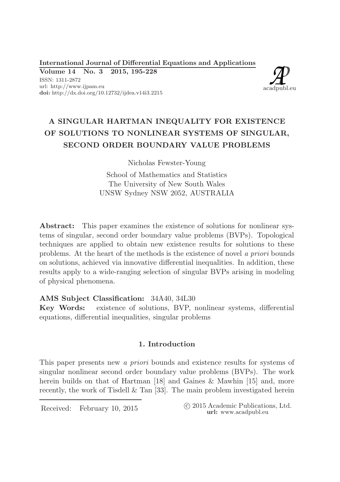International Journal of Differential Equations and Applications

Volume 14 No. 3 2015, 195-228 ISSN: 1311-2872 url: http://www.ijpam.eu doi: http://dx.doi.org/10.12732/ijdea.v14i3.2215



# A SINGULAR HARTMAN INEQUALITY FOR EXISTENCE OF SOLUTIONS TO NONLINEAR SYSTEMS OF SINGULAR, SECOND ORDER BOUNDARY VALUE PROBLEMS

Nicholas Fewster-Young

School of Mathematics and Statistics The University of New South Wales UNSW Sydney NSW 2052, AUSTRALIA

Abstract: This paper examines the existence of solutions for nonlinear systems of singular, second order boundary value problems (BVPs). Topological techniques are applied to obtain new existence results for solutions to these problems. At the heart of the methods is the existence of novel a priori bounds on solutions, achieved via innovative differential inequalities. In addition, these results apply to a wide-ranging selection of singular BVPs arising in modeling of physical phenomena.

# AMS Subject Classification: 34A40, 34L30

Key Words: existence of solutions, BVP, nonlinear systems, differential equations, differential inequalities, singular problems

## 1. Introduction

This paper presents new a priori bounds and existence results for systems of singular nonlinear second order boundary value problems (BVPs). The work herein builds on that of Hartman [18] and Gaines & Mawhin [15] and, more recently, the work of Tisdell & Tan [33]. The main problem investigated herein

Received: February 10, 2015 (2015 Academic Publications, Ltd. url: www.acadpubl.eu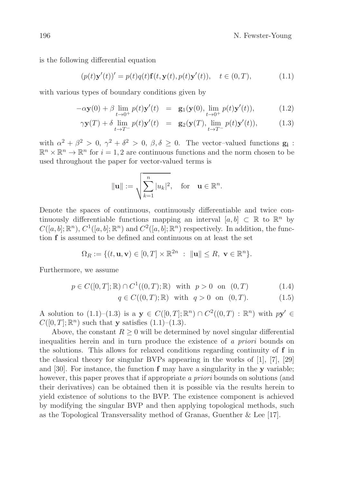is the following differential equation

$$
(p(t)\mathbf{y}'(t))' = p(t)q(t)\mathbf{f}(t,\mathbf{y}(t),p(t)\mathbf{y}'(t)), \quad t \in (0,T),
$$
 (1.1)

with various types of boundary conditions given by

$$
-\alpha \mathbf{y}(0) + \beta \lim_{t \to 0^+} p(t) \mathbf{y}'(t) = \mathbf{g}_1(\mathbf{y}(0), \lim_{t \to 0^+} p(t) \mathbf{y}'(t)), \tag{1.2}
$$

$$
\gamma \mathbf{y}(T) + \delta \lim_{t \to T^-} p(t) \mathbf{y}'(t) = \mathbf{g}_2(\mathbf{y}(T), \lim_{t \to T^-} p(t) \mathbf{y}'(t)), \tag{1.3}
$$

with  $\alpha^2 + \beta^2 > 0$ ,  $\gamma^2 + \delta^2 > 0$ ,  $\beta, \delta \ge 0$ . The vector-valued functions  $\mathbf{g_i}$ :  $\mathbb{R}^n \times \mathbb{R}^n \to \mathbb{R}^n$  for  $i = 1, 2$  are continuous functions and the norm chosen to be used throughout the paper for vector-valued terms is

$$
\|\mathbf{u}\| := \sqrt{\sum_{k=1}^n |u_k|^2}, \quad \text{for} \quad \mathbf{u} \in \mathbb{R}^n.
$$

Denote the spaces of continuous, continuously differentiable and twice continuously differentiable functions mapping an interval  $[a, b] \subset \mathbb{R}$  to  $\mathbb{R}^n$  by  $C([a, b]; \mathbb{R}^n)$ ,  $C^1([a, b]; \mathbb{R}^n)$  and  $C^2([a, b]; \mathbb{R}^n)$  respectively. In addition, the function f is assumed to be defined and continuous on at least the set

$$
\Omega_R := \{ (t, \mathbf{u}, \mathbf{v}) \in [0, T] \times \mathbb{R}^{2n} : ||\mathbf{u}|| \leq R, \ \mathbf{v} \in \mathbb{R}^n \}.
$$

Furthermore, we assume

$$
p \in C([0, T]; \mathbb{R}) \cap C^{1}((0, T); \mathbb{R}) \text{ with } p > 0 \text{ on } (0, T)
$$
 (1.4)

$$
q \in C((0,T); \mathbb{R})
$$
 with  $q > 0$  on  $(0,T)$ . (1.5)

A solution to  $(1.1)$ - $(1.3)$  is a  $y \in C([0,T];\mathbb{R}^n) \cap C^2((0,T): \mathbb{R}^n)$  with  $p\mathbf{y}' \in C([0,T];\mathbb{R}^n)$  $C([0,T];\mathbb{R}^n)$  such that y satisfies  $(1.1)$ – $(1.3)$ .

Above, the constant  $R \geq 0$  will be determined by novel singular differential inequalities herein and in turn produce the existence of a priori bounds on the solutions. This allows for relaxed conditions regarding continuity of f in the classical theory for singular BVPs appearing in the works of [1], [7], [29] and  $[30]$ . For instance, the function  $f$  may have a singularity in the y variable; however, this paper proves that if appropriate a *priori* bounds on solutions (and their derivatives) can be obtained then it is possible via the results herein to yield existence of solutions to the BVP. The existence component is achieved by modifying the singular BVP and then applying topological methods, such as the Topological Transversality method of Granas, Guenther & Lee [17].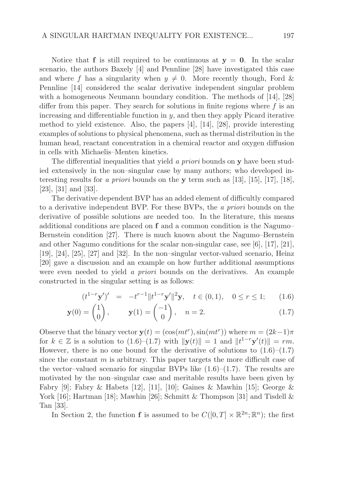Notice that **f** is still required to be continuous at  $y = 0$ . In the scalar scenario, the authors Baxely [4] and Pennline [28] have investigated this case and where f has a singularity when  $y \neq 0$ . More recently though, Ford & Pennline [14] considered the scalar derivative independent singular problem with a homogeneous Neumann boundary condition. The methods of [14], [28] differ from this paper. They search for solutions in finite regions where  $f$  is an increasing and differentiable function in  $y$ , and then they apply Picard iterative method to yield existence. Also, the papers [4], [14], [28], provide interesting examples of solutions to physical phenomena, such as thermal distribution in the human head, reactant concentration in a chemical reactor and oxygen diffusion in cells with Michaelis–Menten kinetics.

The differential inequalities that yield a priori bounds on y have been studied extensively in the non–singular case by many authors; who developed interesting results for a *priori* bounds on the **y** term such as [13], [15], [17], [18], [23], [31] and [33].

The derivative dependent BVP has an added element of difficultly compared to a derivative independent BVP. For these BVPs, the a priori bounds on the derivative of possible solutions are needed too. In the literature, this means additional conditions are placed on f and a common condition is the Nagumo– Bernstein condition [27]. There is much known about the Nagumo–Bernstein and other Nagumo conditions for the scalar non-singular case, see [6], [17], [21], [19], [24], [25], [27] and [32]. In the non–singular vector-valued scenario, Heinz [20] gave a discussion and an example on how further additional assumptions were even needed to yield a *priori* bounds on the derivatives. An example constructed in the singular setting is as follows:

$$
(t^{1-r} \mathbf{y}')' = -t^{r-1} \| t^{1-r} \mathbf{y}' \|^2 \mathbf{y}, \quad t \in (0,1), \quad 0 \le r \le 1; \tag{1.6}
$$

$$
\mathbf{y}(0) = \begin{pmatrix} 1 \\ 0 \end{pmatrix}, \qquad \mathbf{y}(1) = \begin{pmatrix} -1 \\ 0 \end{pmatrix}, \quad n = 2. \tag{1.7}
$$

Observe that the binary vector  $\mathbf{y}(t) = (\cos(mt^r), \sin(mt^r))$  where  $m = (2k-1)\pi$ for  $k \in \mathbb{Z}$  is a solution to (1.6)–(1.7) with  $\|\mathbf{y}(t)\| = 1$  and  $\|t^{1-r}\mathbf{y}'(t)\| = rm$ . However, there is no one bound for the derivative of solutions to  $(1.6)$ – $(1.7)$ since the constant  $m$  is arbitrary. This paper targets the more difficult case of the vector–valued scenario for singular BVPs like  $(1.6)$ – $(1.7)$ . The results are motivated by the non–singular case and meritable results have been given by Fabry [9]; Fabry & Habets [12], [11], [10]; Gaines & Mawhin [15]; George & York [16]; Hartman [18]; Mawhin [26]; Schmitt & Thompson [31] and Tisdell & Tan [33].

In Section 2, the function **f** is assumed to be  $C([0, T] \times \mathbb{R}^{2n}; \mathbb{R}^{n})$ ; the first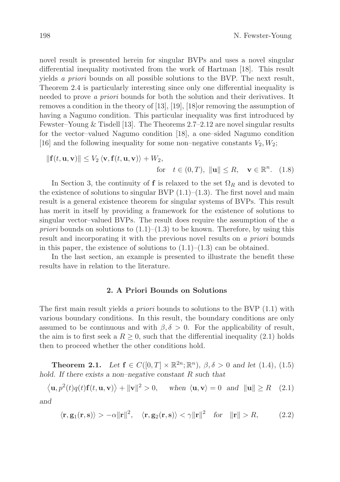novel result is presented herein for singular BVPs and uses a novel singular differential inequality motivated from the work of Hartman [18]. This result yields a priori bounds on all possible solutions to the BVP. The next result, Theorem 2.4 is particularly interesting since only one differential inequality is needed to prove a priori bounds for both the solution and their derivatives. It removes a condition in the theory of [13], [19], [18]or removing the assumption of having a Nagumo condition. This particular inequality was first introduced by Fewster–Young & Tisdell [13]. The Theorems 2.7–2.12 are novel singular results for the vector–valued Nagumo condition [18], a one–sided Nagumo condition [16] and the following inequality for some non–negative constants  $V_2, W_2$ ;

$$
\|\mathbf{f}(t, \mathbf{u}, \mathbf{v})\| \le V_2 \langle \mathbf{v}, \mathbf{f}(t, \mathbf{u}, \mathbf{v}) \rangle + W_2,
$$
  
for  $t \in (0, T), \|\mathbf{u}\| \le R, \mathbf{v} \in \mathbb{R}^n$ . (1.8)

In Section 3, the continuity of f is relaxed to the set  $\Omega_R$  and is devoted to the existence of solutions to singular BVP  $(1.1)$ – $(1.3)$ . The first novel and main result is a general existence theorem for singular systems of BVPs. This result has merit in itself by providing a framework for the existence of solutions to singular vector–valued BVPs. The result does require the assumption of the a *priori* bounds on solutions to  $(1.1)$ – $(1.3)$  to be known. Therefore, by using this result and incorporating it with the previous novel results on a priori bounds in this paper, the existence of solutions to  $(1.1)$ – $(1.3)$  can be obtained.

In the last section, an example is presented to illustrate the benefit these results have in relation to the literature.

#### 2. A Priori Bounds on Solutions

The first main result yields a priori bounds to solutions to the BVP (1.1) with various boundary conditions. In this result, the boundary conditions are only assumed to be continuous and with  $\beta$ ,  $\delta > 0$ . For the applicability of result, the aim is to first seek a  $R \geq 0$ , such that the differential inequality (2.1) holds then to proceed whether the other conditions hold.

**Theorem 2.1.** *Let*  $f \in C([0, T] \times \mathbb{R}^{2n}; \mathbb{R}^n)$ *,*  $\beta, \delta > 0$  *and let* (1.4)*,* (1.5) *hold. If there exists a non–negative constant* R *such that*

$$
\langle \mathbf{u}, p^2(t)q(t)\mathbf{f}(t, \mathbf{u}, \mathbf{v}) \rangle + ||\mathbf{v}||^2 > 0, \quad \text{when } \langle \mathbf{u}, \mathbf{v} \rangle = 0 \text{ and } ||\mathbf{u}|| \ge R \quad (2.1)
$$

*and*

$$
\langle \mathbf{r}, \mathbf{g}_1(\mathbf{r}, \mathbf{s}) \rangle > -\alpha \|\mathbf{r}\|^2, \quad \langle \mathbf{r}, \mathbf{g}_2(\mathbf{r}, \mathbf{s}) \rangle < \gamma \|\mathbf{r}\|^2 \quad \text{for} \quad \|\mathbf{r}\| > R,\tag{2.2}
$$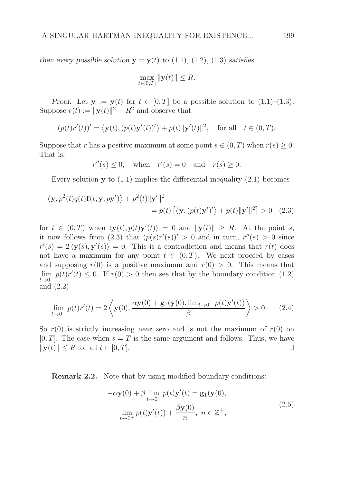*then every possible solution*  $y = y(t)$  *to* (1.1)*,* (1.2)*,* (1.3*) satisfies* 

$$
\max_{t \in [0,T]} \|\mathbf{y}(t)\| \le R.
$$

*Proof.* Let  $y := y(t)$  for  $t \in [0, T]$  be a possible solution to  $(1.1)$ – $(1.3)$ . Suppose  $r(t) := ||\mathbf{y}(t)||^2 - R^2$  and observe that

$$
(p(t)r'(t))' = \langle \mathbf{y}(t), (p(t)\mathbf{y}'(t))'\rangle + p(t)||\mathbf{y}'(t)||^2, \text{ for all } t \in (0, T).
$$

Suppose that r has a positive maximum at some point  $s \in (0, T)$  when  $r(s) \geq 0$ . That is,

$$
r''(s) \le 0, \quad \text{when} \quad r'(s) = 0 \quad \text{and} \quad r(s) \ge 0.
$$

Every solution  $\bf{v}$  to (1.1) implies the differential inequality (2.1) becomes

$$
\langle \mathbf{y}, p^2(t)q(t)\mathbf{f}(t, \mathbf{y}, p\mathbf{y}') \rangle + p^2(t) \|\mathbf{y}'\|^2
$$
  
=  $p(t) [\langle \mathbf{y}, (p(t)\mathbf{y}')' \rangle + p(t) \|\mathbf{y}'\|^2] > 0$  (2.3)

for  $t \in (0,T)$  when  $\langle \mathbf{y}(t), p(t)\mathbf{y}'(t) \rangle = 0$  and  $\|\mathbf{y}(t)\| \geq R$ . At the point s, it now follows from (2.3) that  $(p(s)r'(s))' > 0$  and in turn,  $r''(s) > 0$  since  $r'(s) = 2 \langle y(s), y'(s) \rangle = 0$ . This is a contradiction and means that  $r(t)$  does not have a maximum for any point  $t \in (0, T)$ . We next proceed by cases and supposing  $r(0)$  is a positive maximum and  $r(0) > 0$ . This means that  $\lim_{x\to 0^+} p(t)r'(t) \leq 0$ . If  $r(0) > 0$  then see that by the boundary condition (1.2)  $t\rightarrow 0^+$ and (2.2)

$$
\lim_{t \to 0^+} p(t)r'(t) = 2\left\langle \mathbf{y}(0), \frac{\alpha \mathbf{y}(0) + \mathbf{g}_1(\mathbf{y}(0), \lim_{t \to 0^+} p(t)\mathbf{y}'(t))}{\beta} \right\rangle > 0. \tag{2.4}
$$

So  $r(0)$  is strictly increasing near zero and is not the maximum of  $r(0)$  on  $[0, T]$ . The case when  $s = T$  is the same argument and follows. Thus, we have  $||\mathbf{y}(t)|| \leq R$  for all  $t \in [0, T]$ .

Remark 2.2. Note that by using modified boundary conditions:

$$
-\alpha \mathbf{y}(0) + \beta \lim_{t \to 0^+} p(t) \mathbf{y}'(t) = \mathbf{g}_1(\mathbf{y}(0),
$$
  

$$
\lim_{t \to 0^+} p(t) \mathbf{y}'(t) + \frac{\beta \mathbf{y}(0)}{n}, \ n \in \mathbb{Z}^+,
$$
 (2.5)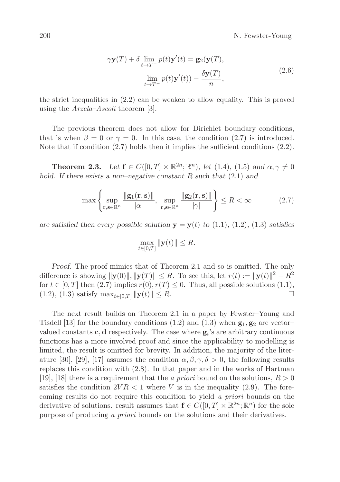$$
\gamma \mathbf{y}(T) + \delta \lim_{t \to T^{-}} p(t) \mathbf{y}'(t) = \mathbf{g}_2(\mathbf{y}(T)),
$$
  

$$
\lim_{t \to T^{-}} p(t) \mathbf{y}'(t) - \frac{\delta \mathbf{y}(T)}{n},
$$
\n(2.6)

the strict inequalities in (2.2) can be weaken to allow equality. This is proved using the *Arzela–Ascoli* theorem [3].

The previous theorem does not allow for Dirichlet boundary conditions, that is when  $\beta = 0$  or  $\gamma = 0$ . In this case, the condition (2.7) is introduced. Note that if condition (2.7) holds then it implies the sufficient conditions (2.2).

**Theorem 2.3.** Let  $f \in C([0, T] \times \mathbb{R}^{2n}; \mathbb{R}^{n})$ , let (1.4), (1.5) and  $\alpha, \gamma \neq 0$ *hold. If there exists a non–negative constant* R *such that* (2.1) *and*

$$
\max\left\{\sup_{\mathbf{r},\mathbf{s}\in\mathbb{R}^n}\frac{\|\mathbf{g}_1(\mathbf{r},\mathbf{s})\|}{|\alpha|},\sup_{\mathbf{r},\mathbf{s}\in\mathbb{R}^n}\frac{\|\mathbf{g}_2(\mathbf{r},\mathbf{s})\|}{|\gamma|}\right\} \le R < \infty\tag{2.7}
$$

*are satisfied then every possible solution*  $y = y(t)$  *to* (1.1)*,* (1.2*),* (1.3*) satisfies* 

$$
\max_{t\in[0,T]}\|\mathbf{y}(t)\| \leq R.
$$

*Proof.* The proof mimics that of Theorem 2.1 and so is omitted. The only difference is showing  $\|\mathbf{y}(0)\|$ ,  $\|\mathbf{y}(T)\| \leq R$ . To see this, let  $r(t) := \|\mathbf{y}(t)\|^2 - R^2$ for  $t \in [0, T]$  then  $(2.7)$  implies  $r(0), r(T) \le 0$ . Thus, all possible solutions  $(1.1)$ ,  $(1.2)$ ,  $(1.3)$  satisfy  $\max_{t \in [0, T]} ||\mathbf{v}(t)|| \le R$ . (1.2), (1.3) satisfy  $\max_{t \in [0,T]} ||\mathbf{y}(t)|| \leq R$ .

The next result builds on Theorem 2.1 in a paper by Fewster–Young and Tisdell [13] for the boundary conditions (1.2) and (1.3) when  $g_1, g_2$  are vectorvalued constants  $\mathbf{c}, \mathbf{d}$  respectively. The case where  $\mathbf{g}_i$ 's are arbitrary continuous functions has a more involved proof and since the applicability to modelling is limited, the result is omitted for brevity. In addition, the majority of the literature [30], [29], [17] assumes the condition  $\alpha, \beta, \gamma, \delta > 0$ , the following results replaces this condition with (2.8). In that paper and in the works of Hartman [19], [18] there is a requirement that the a priori bound on the solutions,  $R > 0$ satisfies the condition  $2VR < 1$  where V is in the inequality (2.9). The forecoming results do not require this condition to yield a priori bounds on the derivative of solutions. result assumes that  $f \in C([0, T] \times \mathbb{R}^{2n}; \mathbb{R}^{n})$  for the sole purpose of producing a priori bounds on the solutions and their derivatives.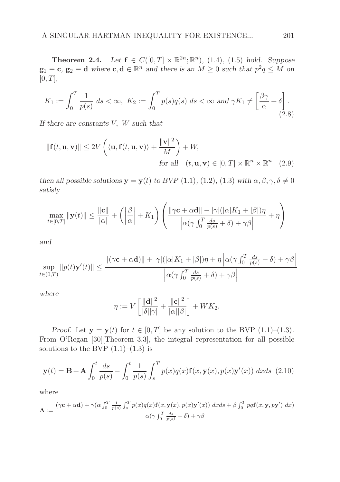**Theorem 2.4.** *Let* **f** ∈  $C([0, T] \times \mathbb{R}^{2n}; \mathbb{R}^{n})$ , (1.4), (1.5) *hold.* Suppose  $g_1 \equiv c, g_2 \equiv d$  *where*  $c, d \in \mathbb{R}^n$  *and there is an*  $M \geq 0$  *such that*  $p^2q \leq M$  *on*  $[0, T]$ ,

$$
K_1 := \int_0^T \frac{1}{p(s)} ds < \infty, \ K_2 := \int_0^T p(s)q(s) ds < \infty \ \text{and} \ \gamma K_1 \neq \left[\frac{\beta \gamma}{\alpha} + \delta\right].\tag{2.8}
$$

*If there are constants* V, W *such that*

$$
\|\mathbf{f}(t, \mathbf{u}, \mathbf{v})\| \le 2V \left( \langle \mathbf{u}, \mathbf{f}(t, \mathbf{u}, \mathbf{v}) \rangle + \frac{\|\mathbf{v}\|^2}{M} \right) + W,
$$
  
for all  $(t, \mathbf{u}, \mathbf{v}) \in [0, T] \times \mathbb{R}^n \times \mathbb{R}^n$  (2.9)

*then all possible solutions*  $\mathbf{y} = \mathbf{y}(t)$  *to BVP* (1.1)*,* (1.2*),* (1.3*) with*  $\alpha, \beta, \gamma, \delta \neq 0$ *satisfy*

$$
\max_{t \in [0,T]} \|\mathbf{y}(t)\| \le \frac{\|\mathbf{c}\|}{|\alpha|} + \left( \left| \frac{\beta}{\alpha} \right| + K_1 \right) \left( \frac{\|\gamma \mathbf{c} + \alpha \mathbf{d}\| + |\gamma|(|\alpha|K_1 + |\beta|)\eta}{\left| \alpha(\gamma \int_0^T \frac{ds}{p(s)} + \delta) + \gamma \beta \right|} + \eta \right)
$$

*and*

$$
\sup_{t \in (0,T)} \|p(t)\mathbf{y}'(t)\| \le \frac{\|(\gamma \mathbf{c} + \alpha \mathbf{d})\| + |\gamma|(|\alpha|K_1 + |\beta|)\eta + \eta \left|\alpha(\gamma \int_0^T \frac{ds}{p(s)} + \delta) + \gamma \beta\right|}{\left|\alpha(\gamma \int_0^T \frac{ds}{p(s)} + \delta) + \gamma \beta\right|}
$$

*where*

$$
\eta := V \left[ \frac{\|\mathbf{d}\|^2}{|\delta||\gamma|} + \frac{\|\mathbf{c}\|^2}{|\alpha||\beta|} \right] + W K_2.
$$

*Proof.* Let  $y = y(t)$  for  $t \in [0, T]$  be any solution to the BVP  $(1.1)$ – $(1.3)$ . From O'Regan [30][Theorem 3.3], the integral representation for all possible solutions to the BVP  $(1.1)$ – $(1.3)$  is

$$
\mathbf{y}(t) = \mathbf{B} + \mathbf{A} \int_0^t \frac{ds}{p(s)} - \int_0^t \frac{1}{p(s)} \int_s^T p(x)q(x)\mathbf{f}(x,\mathbf{y}(x),p(x)\mathbf{y}'(x)) dx ds
$$
 (2.10)

where

$$
\mathbf{A} := \frac{(\gamma \mathbf{c} + \alpha \mathbf{d}) + \gamma (\alpha \int_0^T \frac{1}{p(s)} \int_s^T p(x) q(x) \mathbf{f}(x, \mathbf{y}(x), p(x) \mathbf{y}'(x)) dx ds + \beta \int_0^T p q \mathbf{f}(x, \mathbf{y}, p\mathbf{y}') dx}{\alpha (\gamma \int_0^T \frac{ds}{p(s)} + \delta) + \gamma \beta}
$$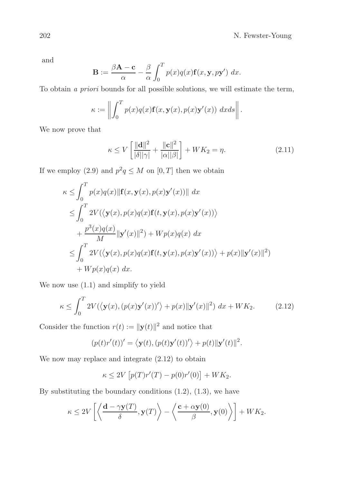and

$$
\mathbf{B} := \frac{\beta \mathbf{A} - \mathbf{c}}{\alpha} - \frac{\beta}{\alpha} \int_0^T p(x) q(x) \mathbf{f}(x, \mathbf{y}, p\mathbf{y}') dx.
$$

To obtain a priori bounds for all possible solutions, we will estimate the term,

$$
\kappa := \left\| \int_0^T p(x)q(x) \mathbf{f}(x, \mathbf{y}(x), p(x) \mathbf{y}'(x)) \, dx ds \right\|.
$$

We now prove that

$$
\kappa \le V \left[ \frac{\|\mathbf{d}\|^2}{|\delta||\gamma|} + \frac{\|\mathbf{c}\|^2}{|\alpha||\beta|} \right] + W K_2 = \eta. \tag{2.11}
$$

If we employ (2.9) and  $p^2q \leq M$  on  $[0, T]$  then we obtain

$$
\kappa \leq \int_0^T p(x)q(x) \|\mathbf{f}(x, \mathbf{y}(x), p(x)\mathbf{y}'(x))\| dx
$$
  
\n
$$
\leq \int_0^T 2V(\langle \mathbf{y}(x), p(x)q(x)\mathbf{f}(t, \mathbf{y}(x), p(x)\mathbf{y}'(x)) \rangle
$$
  
\n
$$
+ \frac{p^3(x)q(x)}{M} \|\mathbf{y}'(x)\|^2) + Wp(x)q(x) dx
$$
  
\n
$$
\leq \int_0^T 2V(\langle \mathbf{y}(x), p(x)q(x)\mathbf{f}(t, \mathbf{y}(x), p(x)\mathbf{y}'(x)) \rangle + p(x) \|\mathbf{y}'(x)\|^2)
$$
  
\n
$$
+ Wp(x)q(x) dx.
$$

We now use (1.1) and simplify to yield

$$
\kappa \le \int_0^T 2V(\langle \mathbf{y}(x), (p(x)\mathbf{y}'(x))'\rangle + p(x)\|\mathbf{y}'(x)\|^2) dx + WK_2.
$$
 (2.12)

Consider the function  $r(t) := ||\mathbf{y}(t)||^2$  and notice that

$$
(p(t)r'(t))' = \langle \mathbf{y}(t), (p(t)\mathbf{y}'(t))'\rangle + p(t)||\mathbf{y}'(t)||^2.
$$

We now may replace and integrate  $(2.12)$  to obtain

$$
\kappa \le 2V \left[ p(T)r'(T) - p(0)r'(0) \right] + WK_2.
$$

By substituting the boundary conditions  $(1.2)$ ,  $(1.3)$ , we have

$$
\kappa \le 2V\left[\left\langle \frac{\mathbf{d} - \gamma \mathbf{y}(T)}{\delta}, \mathbf{y}(T) \right\rangle - \left\langle \frac{\mathbf{c} + \alpha \mathbf{y}(0)}{\beta}, \mathbf{y}(0) \right\rangle \right] + W K_2.
$$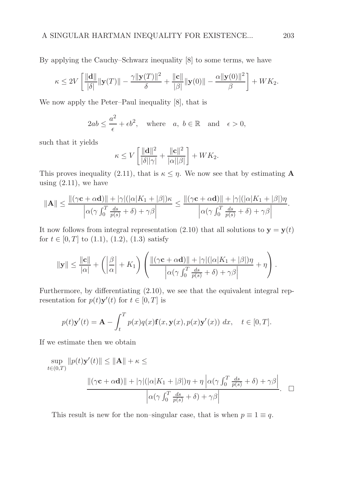By applying the Cauchy–Schwarz inequality [8] to some terms, we have

$$
\kappa \le 2V \left[ \frac{\|\mathbf{d}\|}{|\delta|} \|\mathbf{y}(T)\| - \frac{\gamma \|\mathbf{y}(T)\|^2}{\delta} + \frac{\|\mathbf{c}\|}{|\beta|} \|\mathbf{y}(0)\| - \frac{\alpha \|\mathbf{y}(0)\|^2}{\beta} \right] + W K_2.
$$

We now apply the Peter–Paul inequality [8], that is

$$
2ab \le \frac{a^2}{\epsilon} + \epsilon b^2
$$
, where  $a, b \in \mathbb{R}$  and  $\epsilon > 0$ ,

such that it yields

$$
\kappa \le V \left[ \frac{\|\mathbf{d}\|^2}{|\delta||\gamma|} + \frac{\|\mathbf{c}\|^2}{|\alpha||\beta|} \right] + W K_2.
$$

This proves inequality (2.11), that is  $\kappa \leq \eta$ . We now see that by estimating **A** using  $(2.11)$ , we have

$$
\|\mathbf{A}\| \le \frac{\|(\gamma \mathbf{c} + \alpha \mathbf{d})\| + |\gamma|(|\alpha|K_1 + |\beta|)\kappa}{\left|\alpha(\gamma \int_0^T \frac{ds}{p(s)} + \delta) + \gamma \beta\right|} \le \frac{\|(\gamma \mathbf{c} + \alpha \mathbf{d})\| + |\gamma|(|\alpha|K_1 + |\beta|)\eta}{\left|\alpha(\gamma \int_0^T \frac{ds}{p(s)} + \delta) + \gamma \beta\right|}.
$$

It now follows from integral representation (2.10) that all solutions to  $y = y(t)$ for  $t \in [0, T]$  to  $(1.1)$ ,  $(1.2)$ ,  $(1.3)$  satisfy

$$
\|\mathbf{y}\| \leq \frac{\|\mathbf{c}\|}{|\alpha|} + \left(\left|\frac{\beta}{\alpha}\right| + K_1\right) \left(\frac{\|(\gamma \mathbf{c} + \alpha \mathbf{d})\| + |\gamma|(|\alpha|K_1 + |\beta|)\eta}{\left|\alpha(\gamma \int_0^T \frac{ds}{p(s)} + \delta) + \gamma \beta\right|} + \eta\right).
$$

Furthermore, by differentiating (2.10), we see that the equivalent integral representation for  $p(t)\mathbf{y}'(t)$  for  $t \in [0, T]$  is

$$
p(t)\mathbf{y}'(t) = \mathbf{A} - \int_t^T p(x)q(x)\mathbf{f}(x,\mathbf{y}(x),p(x)\mathbf{y}'(x)) dx, \quad t \in [0,T].
$$

If we estimate then we obtain

$$
\sup_{t \in (0,T)} ||p(t)\mathbf{y}'(t)|| \le ||\mathbf{A}|| + \kappa \le
$$
  

$$
\frac{||(\gamma \mathbf{c} + \alpha \mathbf{d})|| + |\gamma|(|\alpha|K_1 + |\beta|)\eta + \eta |\alpha(\gamma \int_0^T \frac{ds}{p(s)} + \delta) + \gamma \beta|}{|\alpha(\gamma \int_0^T \frac{ds}{p(s)} + \delta) + \gamma \beta|} \square
$$

This result is new for the non–singular case, that is when  $p \equiv 1 \equiv q$ .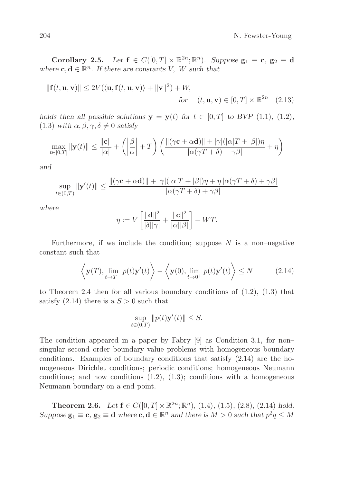**Corollary 2.5.** *Let*  $f \in C([0,T] \times \mathbb{R}^{2n}; \mathbb{R}^{n})$ *. Suppose*  $g_1 \equiv c, g_2 \equiv d$ where  $\mathbf{c}, \mathbf{d} \in \mathbb{R}^n$ . If there are constants V, W such that

$$
\|\mathbf{f}(t,\mathbf{u},\mathbf{v})\| \le 2V(\langle \mathbf{u}, \mathbf{f}(t,\mathbf{u},\mathbf{v}) \rangle + \|\mathbf{v}\|^2) + W,
$$
  
for  $(t,\mathbf{u},\mathbf{v}) \in [0,T] \times \mathbb{R}^{2n}$  (2.13)

*holds then all possible solutions*  $y = y(t)$  *for*  $t \in [0, T]$  *to BVP* (1.1)*,* (1.2*),*  $(1.3)$  *with*  $\alpha, \beta, \gamma, \delta \neq 0$  *satisfy* 

$$
\max_{t \in [0,T]} \|\mathbf{y}(t)\| \le \frac{\|\mathbf{c}\|}{|\alpha|} + \left(\left|\frac{\beta}{\alpha}\right| + T\right) \left(\frac{\|(\gamma \mathbf{c} + \alpha \mathbf{d})\| + |\gamma|(|\alpha|T + |\beta|)\eta}{|\alpha(\gamma T + \delta) + \gamma \beta|} + \eta\right)
$$

*and*

$$
\sup_{t \in (0,T)} \|\mathbf{y}'(t)\| \le \frac{\|(\gamma \mathbf{c} + \alpha \mathbf{d})\| + |\gamma|(|\alpha|T + |\beta|)\eta + \eta |\alpha(\gamma T + \delta) + \gamma \beta|}{|\alpha(\gamma T + \delta) + \gamma \beta|}
$$

*where*

$$
\eta := V \left[ \frac{\|\mathbf{d}\|^2}{|\delta||\gamma|} + \frac{\|\mathbf{c}\|^2}{|\alpha||\beta|} \right] + WT.
$$

Furthermore, if we include the condition; suppose  $N$  is a non-negative constant such that

$$
\left\langle \mathbf{y}(T), \lim_{t \to T^{-}} p(t) \mathbf{y}'(t) \right\rangle - \left\langle \mathbf{y}(0), \lim_{t \to 0^{+}} p(t) \mathbf{y}'(t) \right\rangle \leq N \tag{2.14}
$$

to Theorem 2.4 then for all various boundary conditions of  $(1.2)$ ,  $(1.3)$  that satisfy  $(2.14)$  there is a  $S > 0$  such that

$$
\sup_{t\in(0,T)}\|p(t)\mathbf{y}'(t)\| \leq S.
$$

The condition appeared in a paper by Fabry [9] as Condition 3.1, for non– singular second order boundary value problems with homogeneous boundary conditions. Examples of boundary conditions that satisfy (2.14) are the homogeneous Dirichlet conditions; periodic conditions; homogeneous Neumann conditions; and now conditions  $(1.2)$ ,  $(1.3)$ ; conditions with a homogeneous Neumann boundary on a end point.

**Theorem 2.6.** Let  $f \in C([0, T] \times \mathbb{R}^{2n}; \mathbb{R}^{n})$ , (1.4), (1.5), (2.8), (2.14) hold.  $Suppose \mathbf{g}_1 \equiv \mathbf{c}, \mathbf{g}_2 \equiv \mathbf{d}$  *where*  $\mathbf{c}, \mathbf{d} \in \mathbb{R}^n$  *and there is*  $M > 0$  *such that*  $p^2q \leq M$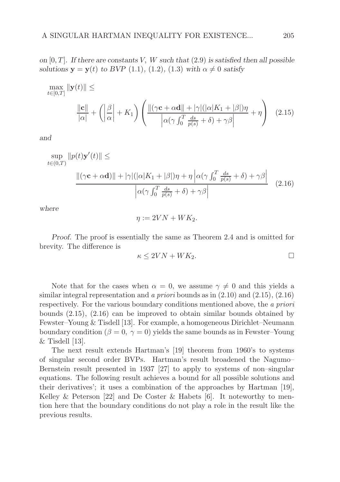*on* [0, T]*. If there are constants* V, W *such that* (2.9) *is satisfied then all possible solutions*  $y = y(t)$  *to BVP* (1.1)*,* (1.2)*,* (1.3) with  $\alpha \neq 0$  *satisfy* 

$$
\max_{t \in [0,T]} \|\mathbf{y}(t)\| \le \frac{\|\mathbf{c}\|}{|\alpha|} + \left(\left|\frac{\beta}{\alpha}\right| + K_1\right) \left(\frac{\|(\gamma \mathbf{c} + \alpha \mathbf{d}\| + |\gamma|(|\alpha|K_1 + |\beta|)\eta}{\left|\alpha(\gamma \int_0^T \frac{ds}{p(s)} + \delta) + \gamma \beta\right|} + \eta\right) (2.15)
$$

*and*

$$
\sup_{t \in (0,T)} ||p(t)\mathbf{y}'(t)|| \le
$$
  

$$
\frac{||(\gamma \mathbf{c} + \alpha \mathbf{d})|| + |\gamma|(|\alpha|K_1 + |\beta|)\eta + \eta |\alpha(\gamma \int_0^T \frac{ds}{p(s)} + \delta) + \gamma \beta|}{|\alpha(\gamma \int_0^T \frac{ds}{p(s)} + \delta) + \gamma \beta|} (2.16)
$$

*where*

$$
\eta := 2VN + WK_2.
$$

*Proof.* The proof is essentially the same as Theorem 2.4 and is omitted for brevity. The difference is

$$
\kappa \le 2VN + WK_2. \qquad \qquad \Box
$$

Note that for the cases when  $\alpha = 0$ , we assume  $\gamma \neq 0$  and this yields a similar integral representation and a priori bounds as in (2.10) and (2.15), (2.16) respectively. For the various boundary conditions mentioned above, the a priori bounds (2.15), (2.16) can be improved to obtain similar bounds obtained by Fewster–Young & Tisdell [13]. For example, a homogeneous Dirichlet–Neumann boundary condition ( $\beta = 0$ ,  $\gamma = 0$ ) yields the same bounds as in Fewster–Young  $&$  Tisdell [13].

The next result extends Hartman's [19] theorem from 1960's to systems of singular second order BVPs. Hartman's result broadened the Nagumo– Bernstein result presented in 1937 [27] to apply to systems of non–singular equations. The following result achieves a bound for all possible solutions and their derivatives'; it uses a combination of the approaches by Hartman [19], Kelley & Peterson [22] and De Coster & Habets [6]. It noteworthy to mention here that the boundary conditions do not play a role in the result like the previous results.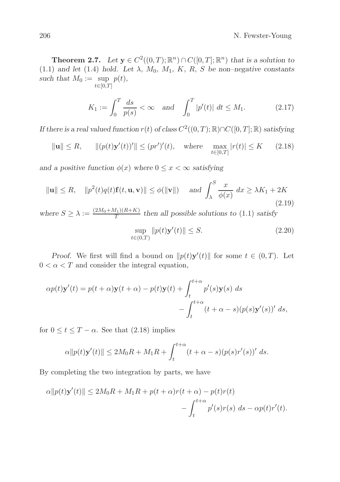#### 206 N. Fewster-Young

**Theorem 2.7.** *Let*  $\mathbf{y} \in C^2((0,T);\mathbb{R}^n) \cap C([0,T];\mathbb{R}^n)$  *that is a solution to* (1.1) and let (1.4) hold. Let  $\lambda$ ,  $M_0$ ,  $M_1$ , K, R, S be non–negative constants *such that*  $M_0 := \text{sup}$  $t \in [0,T]$ p(t)*,*

$$
K_1 := \int_0^T \frac{ds}{p(s)} < \infty \quad \text{and} \quad \int_0^T |p'(t)| \, dt \le M_1. \tag{2.17}
$$

*If there is a real valued function*  $r(t)$  *of class*  $C^2((0,T);\mathbb{R}) \cap C([0,T];\mathbb{R})$  *satisfying* 

$$
\|\mathbf{u}\| \le R
$$
,  $\|(p(t)\mathbf{y}'(t))'\| \le (pr')'(t)$ , where  $\max_{t \in [0,T]} |r(t)| \le K$  (2.18)

*and a positive function*  $\phi(x)$  *where*  $0 \leq x < \infty$  *satisfying* 

$$
\|\mathbf{u}\| \le R, \quad \|p^2(t)q(t)\mathbf{f}(t,\mathbf{u},\mathbf{v})\| \le \phi(\|\mathbf{v}\|) \quad \text{and } \int_{\lambda}^{S} \frac{x}{\phi(x)} dx \ge \lambda K_1 + 2K
$$
\n(2.19)

where  $S \geq \lambda := \frac{(2M_0 + M_1)(R + K)}{T}$  $\frac{f_{11}(R+R)}{T}$  then all possible solutions to  $(1.1)$  satisfy

$$
\sup_{t \in (0,T)} \|p(t)\mathbf{y}'(t)\| \le S. \tag{2.20}
$$

*Proof.* We first will find a bound on  $||p(t)y'(t)||$  for some  $t \in (0, T)$ . Let  $0 < \alpha < T$  and consider the integral equation,

$$
\alpha p(t)\mathbf{y}'(t) = p(t+\alpha)\mathbf{y}(t+\alpha) - p(t)\mathbf{y}(t) + \int_{t}^{t+\alpha} p'(s)\mathbf{y}(s) ds - \int_{t}^{t+\alpha} (t+\alpha - s)(p(s)\mathbf{y}'(s))' ds,
$$

for  $0 \le t \le T - \alpha$ . See that (2.18) implies

$$
\alpha ||p(t)\mathbf{y}'(t)|| \le 2M_0 R + M_1 R + \int_t^{t+\alpha} (t+\alpha - s)(p(s)r'(s))' ds.
$$

By completing the two integration by parts, we have

$$
\alpha ||p(t)\mathbf{y}'(t)|| \le 2M_0R + M_1R + p(t+\alpha)r(t+\alpha) - p(t)r(t)
$$

$$
- \int_t^{t+\alpha} p'(s)r(s) \ ds - \alpha p(t)r'(t).
$$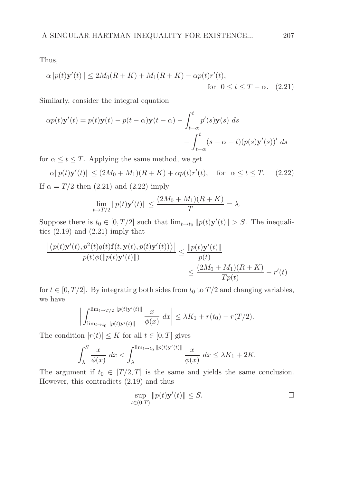Thus,

$$
\alpha \|p(t)\mathbf{y}'(t)\| \le 2M_0(R+K) + M_1(R+K) - \alpha p(t)r'(t),
$$
  
for  $0 \le t \le T - \alpha$ . (2.21)

Similarly, consider the integral equation

$$
\alpha p(t)\mathbf{y}'(t) = p(t)\mathbf{y}(t) - p(t-\alpha)\mathbf{y}(t-\alpha) - \int_{t-\alpha}^{t} p'(s)\mathbf{y}(s) ds
$$
  
+ 
$$
\int_{t-\alpha}^{t} (s+\alpha-t)(p(s)\mathbf{y}'(s))' ds
$$

for  $\alpha \leq t \leq T$ . Applying the same method, we get

$$
\alpha ||p(t)\mathbf{y}'(t)|| \le (2M_0 + M_1)(R + K) + \alpha p(t)r'(t), \quad \text{for } \alpha \le t \le T. \tag{2.22}
$$
  
If  $\alpha = T/2$  then (2.21) and (2.22) imply

$$
\lim_{t \to T/2} \|p(t)\mathbf{y}'(t)\| \le \frac{(2M_0 + M_1)(R + K)}{T} = \lambda.
$$

Suppose there is  $t_0 \in [0, T/2]$  such that  $\lim_{t \to t_0} ||p(t)\mathbf{y}'(t)|| > S$ . The inequalities  $(2.19)$  and  $(2.21)$  imply that

$$
\frac{\left| \left\langle p(t)\mathbf{y}'(t), p^2(t)q(t)\mathbf{f}(t, \mathbf{y}(t), p(t)\mathbf{y}'(t)) \right\rangle \right|}{p(t)\phi(\|p(t)\mathbf{y}'(t)\|)} \le \frac{\|p(t)\mathbf{y}'(t)\|}{p(t)} \n\le \frac{(2M_0 + M_1)(R + K)}{Tp(t)} - r'(t)
$$

for  $t \in [0, T/2]$ . By integrating both sides from  $t_0$  to  $T/2$  and changing variables, we have

$$
\left| \int_{\lim_{t \to t_0} ||p(t)\mathbf{y}'(t)||}^{\lim_{t \to T/2} ||p(t)\mathbf{y}'(t)||} \frac{x}{\phi(x)} dx \right| \leq \lambda K_1 + r(t_0) - r(T/2).
$$

The condition  $|r(t)| \leq K$  for all  $t \in [0, T]$  gives

$$
\int_{\lambda}^{S} \frac{x}{\phi(x)} dx < \int_{\lambda}^{\lim_{t \to t_0} \|p(t)\mathbf{y}'(t)\|} \frac{x}{\phi(x)} dx \le \lambda K_1 + 2K.
$$

The argument if  $t_0 \in [T/2, T]$  is the same and yields the same conclusion. However, this contradicts (2.19) and thus

$$
\sup_{t \in (0,T)} \|p(t)\mathbf{y}'(t)\| \le S. \qquad \Box
$$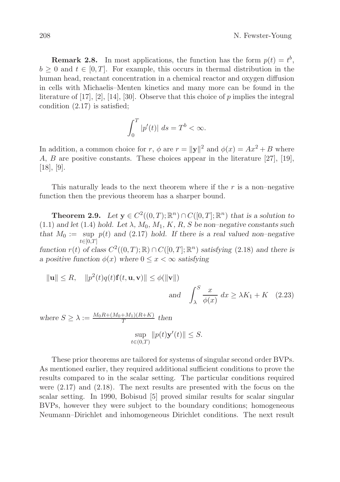**Remark 2.8.** In most applications, the function has the form  $p(t) = t^b$ ,  $b \geq 0$  and  $t \in [0, T]$ . For example, this occurs in thermal distribution in the human head, reactant concentration in a chemical reactor and oxygen diffusion in cells with Michaelis–Menten kinetics and many more can be found in the literature of  $[17]$ ,  $[2]$ ,  $[14]$ ,  $[30]$ . Observe that this choice of p implies the integral condition (2.17) is satisfied;

$$
\int_0^T |p'(t)| \, ds = T^b < \infty.
$$

In addition, a common choice for r,  $\phi$  are  $r = ||\mathbf{y}||^2$  and  $\phi(x) = Ax^2 + B$  where A, B are positive constants. These choices appear in the literature [27], [19], [18], [9].

This naturally leads to the next theorem where if the  $r$  is a non-negative function then the previous theorem has a sharper bound.

**Theorem 2.9.** Let  $y \in C^2((0,T);\mathbb{R}^n) \cap C([0,T];\mathbb{R}^n)$  that is a solution to  $(1.1)$  *and let*  $(1.4)$  *hold. Let*  $\lambda$ *,*  $M_0$ *,*  $M_1$ *,*  $K$ *,*  $R$ *,*  $S$  *be non–negative constants such* that  $M_0 := \text{sup } p(t)$  and (2.17) hold. If there is a real valued non-negative  $t \in [0,T]$ 

*function*  $r(t)$  *of class*  $C^2((0,T);\mathbb{R}) \cap C([0,T];\mathbb{R}^n)$  *satisfying* (2.18) *and there is a positive function*  $\phi(x)$  *where*  $0 \leq x < \infty$  *satisfying* 

$$
\|\mathbf{u}\| \le R, \quad \|p^2(t)q(t)\mathbf{f}(t, \mathbf{u}, \mathbf{v})\| \le \phi(\|\mathbf{v}\|)
$$
  
and 
$$
\int_{\lambda}^{S} \frac{x}{\phi(x)} dx \ge \lambda K_1 + K \quad (2.23)
$$

*where*  $S \geq \lambda := \frac{M_0 R + (M_0 + M_1)(R + K)}{T}$  $\frac{+M_1\left(\kappa+\kappa\right)}{T}$  then sup  $t \in (0,T)$  $||p(t)\mathbf{y}'(t)|| \leq S.$ 

These prior theorems are tailored for systems of singular second order BVPs. As mentioned earlier, they required additional sufficient conditions to prove the results compared to in the scalar setting. The particular conditions required were (2.17) and (2.18). The next results are presented with the focus on the scalar setting. In 1990, Bobisud [5] proved similar results for scalar singular BVPs, however they were subject to the boundary conditions; homogeneous Neumann–Dirichlet and inhomogeneous Dirichlet conditions. The next result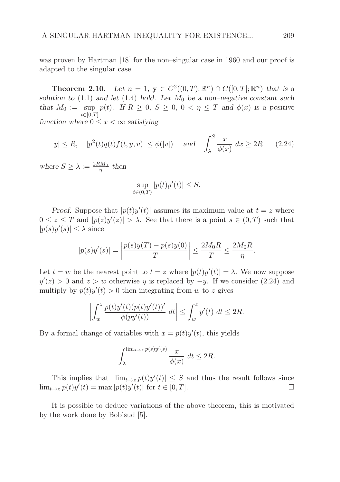was proven by Hartman [18] for the non–singular case in 1960 and our proof is adapted to the singular case.

**Theorem 2.10.** *Let*  $n = 1$ ,  $y \in C^2((0,T);\mathbb{R}^n) \cap C([0,T];\mathbb{R}^n)$  *that is a solution to* (1.1) *and let* (1.4) *hold.* Let  $M_0$  *be a non–negative constant such that*  $M_0 := \sup_{t \in [0,T]} p(t)$ *. If*  $R \geq 0$ *,*  $S \geq 0$ *,*  $0 < \eta \leq T$  *and*  $\phi(x)$  *is a positive*  $t\in [0,T]$ *function where*  $0 \leq x < \infty$  *satisfying* 

$$
|y| \le R, \quad |p^2(t)q(t)f(t,y,v)| \le \phi(|v|) \quad \text{and} \quad \int_{\lambda}^{S} \frac{x}{\phi(x)} dx \ge 2R \qquad (2.24)
$$

where  $S \geq \lambda := \frac{2RM_0}{\eta}$  then

$$
\sup_{t \in (0,T)} |p(t)y'(t)| \le S.
$$

*Proof.* Suppose that  $|p(t)y'(t)|$  assumes its maximum value at  $t = z$  where  $0 \leq z \leq T$  and  $|p(z)y'(z)| > \lambda$ . See that there is a point  $s \in (0, T)$  such that  $|p(s)y'(s)| \leq \lambda$  since

$$
|p(s)y'(s)| = \left| \frac{p(s)y(T) - p(s)y(0)}{T} \right| \le \frac{2M_0R}{T} \le \frac{2M_0R}{\eta}.
$$

Let  $t = w$  be the nearest point to  $t = z$  where  $|p(t)y'(t)| = \lambda$ . We now suppose  $y'(z) > 0$  and  $z > w$  otherwise y is replaced by  $-y$ . If we consider (2.24) and multiply by  $p(t)y'(t) > 0$  then integrating from w to z gives

$$
\left| \int_w^z \frac{p(t)y'(t)(p(t)y'(t))'}{\phi(py'(t))} dt \right| \leq \int_w^z y'(t) dt \leq 2R.
$$

By a formal change of variables with  $x = p(t)y'(t)$ , this yields

$$
\int_{\lambda}^{\lim_{s \to z} p(s)y'(s)} \frac{x}{\phi(x)} \, dt \le 2R.
$$

This implies that  $|\lim_{t\to z} p(t)y'(t)| \leq S$  and thus the result follows since  $\lim_{t\to z} p(t)y'(t) = \max |p(t)y'(t)|$  for  $t \in [0, T]$ .

It is possible to deduce variations of the above theorem, this is motivated by the work done by Bobisud [5].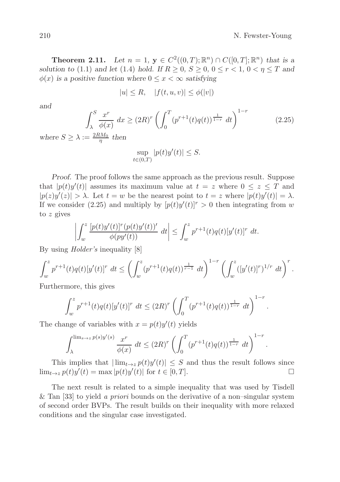**Theorem 2.11.** *Let*  $n = 1$ ,  $y \in C^2((0, T); \mathbb{R}^n) \cap C([0, T]; \mathbb{R}^n)$  *that is a solution to* (1.1) *and let* (1.4) *hold.* If  $R \ge 0$ ,  $S \ge 0$ ,  $0 \le r < 1$ ,  $0 < \eta \le T$  *and*  $\phi(x)$  *is a positive function where*  $0 \leq x < \infty$  *satisfying* 

$$
|u| \le R, \quad |f(t, u, v)| \le \phi(|v|)
$$

*and*

$$
\int_{\lambda}^{S} \frac{x^r}{\phi(x)} dx \ge (2R)^r \left( \int_0^T (p^{r+1}(t)q(t))^{\frac{1}{1-r}} dt \right)^{1-r}
$$
(2.25)

where  $S \geq \lambda := \frac{2RM_0}{\eta}$  then

$$
\sup_{t \in (0,T)} |p(t)y'(t)| \le S.
$$

*Proof.* The proof follows the same approach as the previous result. Suppose that  $|p(t)y'(t)|$  assumes its maximum value at  $t = z$  where  $0 \le z \le T$  and  $|p(z)y'(z)| > \lambda$ . Let  $t = w$  be the nearest point to  $t = z$  where  $|p(t)y'(t)| = \lambda$ . If we consider (2.25) and multiply by  $[p(t)y'(t)]^r > 0$  then integrating from w to z gives

$$
\left| \int_w^z \frac{[p(t)y'(t)]^r (p(t)y'(t))'}{\phi(py'(t))} dt \right| \leq \int_w^z p^{r+1}(t) q(t) [y'(t)]^r dt.
$$

By using Holder's inequality [8]

$$
\int_w^z p^{r+1}(t)q(t)[y'(t)]^r dt \le \left(\int_w^z (p^{r+1}(t)q(t))^{\frac{1}{r-1}} dt\right)^{1-r} \left(\int_w^z ([y'(t)]^r)^{1/r} dt\right)^r.
$$

Furthermore, this gives

$$
\int_w^z p^{r+1}(t)q(t)[y'(t)]^r dt \le (2R)^r \left( \int_0^T (p^{r+1}(t)q(t))^{\frac{1}{1-r}} dt \right)^{1-r}.
$$

The change of variables with  $x = p(t)y'(t)$  yields

$$
\int_{\lambda}^{\lim_{s \to z} p(s)y'(s)} \frac{x^r}{\phi(x)} dt \le (2R)^r \left( \int_0^T (p^{r+1}(t)q(t))^{\frac{1}{1-r}} dt \right)^{1-r}.
$$

This implies that  $|\lim_{t\to z} p(t)y'(t)| \leq S$  and thus the result follows since  $\lim_{t\to z} p(t)y'(t) = \max |p(t)y'(t)|$  for  $t \in [0, T]$ .

The next result is related to a simple inequality that was used by Tisdell & Tan [33] to yield a *priori* bounds on the derivative of a non-singular system of second order BVPs. The result builds on their inequality with more relaxed conditions and the singular case investigated.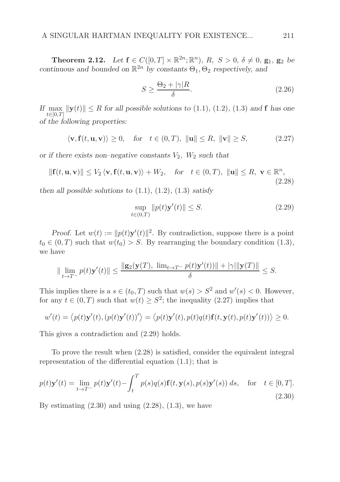**Theorem 2.12.** Let  $f \in C([0, T] \times \mathbb{R}^{2n}; \mathbb{R}^{n})$ ,  $R, S > 0, \delta \neq 0$ ,  $g_1, g_2$  be *continuous and bounded on*  $\mathbb{R}^{2n}$  *by constants*  $\Theta_1$ ,  $\Theta_2$  *respectively, and* 

$$
S \ge \frac{\Theta_2 + |\gamma|R}{\delta}.\tag{2.26}
$$

If  $\max_{t\in[0,T]} \|\mathbf{y}(t)\| \leq R$  for all possible solutions to (1.1)*,* (1.2)*,* (1.3) and **f** has one  $t \in [0,T]$ *of the following properties:*

$$
\langle \mathbf{v}, \mathbf{f}(t, \mathbf{u}, \mathbf{v}) \rangle \ge 0, \quad \text{for} \quad t \in (0, T), \ \|\mathbf{u}\| \le R, \ \|\mathbf{v}\| \ge S,
$$
 (2.27)

*or if there exists non–negative constants*  $V_2$ ,  $W_2$  *such that* 

$$
\|\mathbf{f}(t,\mathbf{u},\mathbf{v})\| \le V_2 \langle \mathbf{v}, \mathbf{f}(t,\mathbf{u},\mathbf{v}) \rangle + W_2, \quad \text{for} \quad t \in (0,T), \ \|\mathbf{u}\| \le R, \ \mathbf{v} \in \mathbb{R}^n, \tag{2.28}
$$

*then all possible solutions to*  $(1.1)$ ,  $(1.2)$ ,  $(1.3)$  *satisfy* 

$$
\sup_{t \in (0,T)} \|p(t)\mathbf{y}'(t)\| \le S. \tag{2.29}
$$

*Proof.* Let  $w(t) := ||p(t)y'(t)||^2$ . By contradiction, suppose there is a point  $t_0 \in (0,T)$  such that  $w(t_0) > S$ . By rearranging the boundary condition (1.3), we have

$$
\|\lim_{t\to T^-} p(t)\mathbf{y}'(t)\| \le \frac{\|\mathbf{g}_2(\mathbf{y}(T), \ \lim_{t\to T^-} p(t)\mathbf{y}'(t))\| + |\gamma|\|\mathbf{y}(T)\|}{\delta} \le S.
$$

This implies there is a  $s \in (t_0, T)$  such that  $w(s) > S^2$  and  $w'(s) < 0$ . However, for any  $t \in (0, T)$  such that  $w(t) \geq S^2$ ; the inequality  $(2.27)$  implies that

$$
w'(t) = \langle p(t)\mathbf{y}'(t), (p(t)\mathbf{y}'(t))'\rangle = \langle p(t)\mathbf{y}'(t), p(t)q(t)\mathbf{f}(t, \mathbf{y}(t), p(t)\mathbf{y}'(t))\rangle \ge 0.
$$

This gives a contradiction and (2.29) holds.

To prove the result when (2.28) is satisfied, consider the equivalent integral representation of the differential equation (1.1); that is

$$
p(t)\mathbf{y}'(t) = \lim_{t \to T^{-}} p(t)\mathbf{y}'(t) - \int_{t}^{T} p(s)q(s)\mathbf{f}(t, \mathbf{y}(s), p(s)\mathbf{y}'(s)) ds, \text{ for } t \in [0, T].
$$
\n(2.30)

By estimating  $(2.30)$  and using  $(2.28)$ ,  $(1.3)$ , we have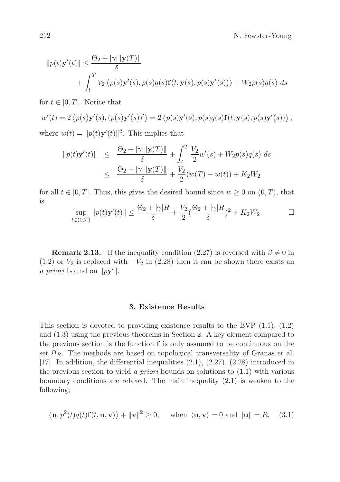212 N. Fewster-Young

$$
||p(t)\mathbf{y}'(t)|| \leq \frac{\Theta_2 + |\gamma| ||\mathbf{y}(T)||}{\delta}
$$
  
+ 
$$
\int_t^T V_2 \langle p(s)\mathbf{y}'(s), p(s)q(s)\mathbf{f}(t, \mathbf{y}(s), p(s)\mathbf{y}'(s)) \rangle + W_2 p(s)q(s) ds
$$

for  $t \in [0, T]$ . Notice that

$$
w'(t) = 2 \langle p(s) \mathbf{y}'(s), (p(s) \mathbf{y}'(s))' \rangle = 2 \langle p(s) \mathbf{y}'(s), p(s) q(s) \mathbf{f}(t, \mathbf{y}(s), p(s) \mathbf{y}'(s)) \rangle,
$$
  
where  $w(t) = ||p(t) \mathbf{y}'(t)||^2$ . This implies that

$$
||p(t)\mathbf{y}'(t)|| \leq \frac{\Theta_2 + |\gamma| ||\mathbf{y}(T)||}{\delta} + \int_t^T \frac{V_2}{2} w'(s) + W_2 p(s) q(s) \, ds
$$
  

$$
\leq \frac{\Theta_2 + |\gamma| ||\mathbf{y}(T)||}{\delta} + \frac{V_2}{2} (w(T) - w(t)) + K_2 W_2
$$

for all  $t \in [0, T]$ . Thus, this gives the desired bound since  $w \ge 0$  on  $(0, T)$ , that is

$$
\sup_{t \in (0,T)} \|p(t)\mathbf{y}'(t)\| \le \frac{\Theta_2 + |\gamma|R}{\delta} + \frac{V_2}{2} (\frac{\Theta_2 + |\gamma|R}{\delta})^2 + K_2 W_2.
$$

**Remark 2.13.** If the inequality condition (2.27) is reversed with  $\beta \neq 0$  in (1.2) or  $V_2$  is replaced with  $-V_2$  in (2.28) then it can be shown there exists an *a priori* bound on  $\|p\mathbf{y}'\|$ .

### 3. Existence Results

This section is devoted to providing existence results to the BVP  $(1.1), (1.2)$ and (1.3) using the previous theorems in Section 2. A key element compared to the previous section is the function  $f$  is only assumed to be continuous on the set  $\Omega_R$ . The methods are based on topological transversality of Granas et al. [17]. In addition, the differential inequalities (2.1), (2.27), (2.28) introduced in the previous section to yield a *priori* bounds on solutions to  $(1.1)$  with various boundary conditions are relaxed. The main inequality (2.1) is weaken to the following;

$$
\langle \mathbf{u}, p^2(t)q(t)\mathbf{f}(t, \mathbf{u}, \mathbf{v}) \rangle + ||\mathbf{v}||^2 \ge 0
$$
, when  $\langle \mathbf{u}, \mathbf{v} \rangle = 0$  and  $||\mathbf{u}|| = R$ , (3.1)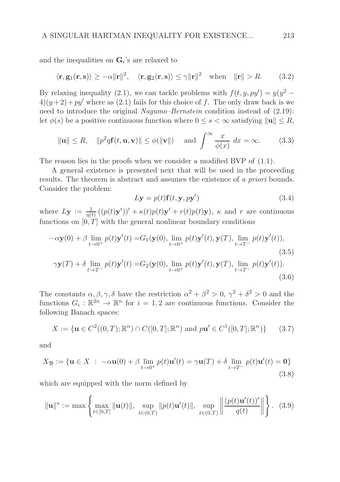and the inequalities on  $\mathbf{G}_i$ 's are relaxed to

$$
\langle \mathbf{r}, \mathbf{g}_1(\mathbf{r}, \mathbf{s}) \rangle \ge -\alpha ||\mathbf{r}||^2
$$
,  $\langle \mathbf{r}, \mathbf{g}_2(\mathbf{r}, \mathbf{s}) \rangle \le \gamma ||\mathbf{r}||^2$  when  $||\mathbf{r}|| > R$ . (3.2)

By relaxing inequality (2.1), we can tackle problems with  $f(t, y, py') = y(y^2 4(y+2)+py'$  where as (2.1) fails for this choice of f. The only draw back is we need to introduce the original *Nagumo–Bernstein* condition instead of  $(2.19)$ : let  $\phi(s)$  be a positive continuous function where  $0 \leq s < \infty$  satisfying  $\|\mathbf{u}\| \leq R$ ,

$$
\|\mathbf{u}\| \le R, \quad \|p^2 q \mathbf{f}(t, \mathbf{u}, \mathbf{v})\| \le \phi(\|\mathbf{v}\|) \quad \text{and } \int_{}^{\infty} \frac{x}{\phi(x)} dx = \infty.
$$
 (3.3)

The reason lies in the proofs when we consider a modified BVP of  $(1.1)$ .

A general existence is presented next that will be used in the proceeding results. The theorem is abstract and assumes the existence of a priori bounds. Consider the problem:

$$
L\mathbf{y} = p(t)\mathbf{f}(t, \mathbf{y}, p\mathbf{y}')
$$
\n(3.4)

where  $L\mathbf{y} := \frac{1}{q(t)}((p(t)\mathbf{y}'))' + \kappa(t)p(t)\mathbf{y}' + r(t)p(t)\mathbf{y}), \kappa$  and r are continuous functions on  $[0, T]$  with the general nonlinear boundary conditions

$$
-\alpha \mathbf{y}(0) + \beta \lim_{t \to 0^+} p(t) \mathbf{y}'(t) = G_1(\mathbf{y}(0), \lim_{t \to 0^+} p(t) \mathbf{y}'(t), \mathbf{y}(T), \lim_{t \to T^-} p(t) \mathbf{y}'(t)),
$$
\n(3.5)

$$
\gamma \mathbf{y}(T) + \delta \lim_{t \to T^{-}} p(t) \mathbf{y}'(t) = G_2(\mathbf{y}(0), \lim_{t \to 0^{+}} p(t) \mathbf{y}'(t), \mathbf{y}(T), \lim_{t \to T^{-}} p(t) \mathbf{y}'(t)).
$$
\n(3.6)

The constants  $\alpha, \beta, \gamma, \delta$  have the restriction  $\alpha^2 + \beta^2 > 0$ ,  $\gamma^2 + \delta^2 > 0$  and the functions  $G_i : \mathbb{R}^{2n} \to \mathbb{R}^n$  for  $i = 1, 2$  are continuous functions. Consider the following Banach spaces:

$$
X := \{ \mathbf{u} \in C^2((0,T); \mathbb{R}^n) \cap C([0,T]; \mathbb{R}^n) \text{ and } p\mathbf{u}' \in C^1([0,T]; \mathbb{R}^n) \} \qquad (3.7)
$$

and

$$
X_{\mathfrak{B}} := \{ \mathbf{u} \in X \; : \; -\alpha \mathbf{u}(0) + \beta \lim_{t \to 0^+} p(t) \mathbf{u}'(t) = \gamma \mathbf{u}(T) + \delta \lim_{t \to T^-} p(t) \mathbf{u}'(t) = \mathbf{0} \}
$$
(3.8)

which are equipped with the norm defined by

$$
\|\mathbf{u}\|^* := \max\left\{\max_{t \in [0,T]} \|\mathbf{u}(t)\|, \sup_{t \in (0,T)} \|p(t)\mathbf{u}'(t)\|, \sup_{t \in (0,T)} \left\|\frac{(p(t)\mathbf{u}'(t))'}{q(t)}\right\|\right\}.
$$
 (3.9)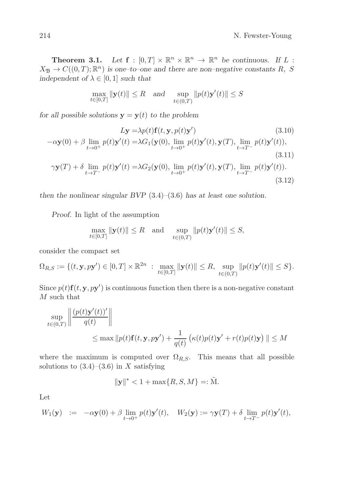**Theorem 3.1.** Let  $f : [0, T] \times \mathbb{R}^n \times \mathbb{R}^n \to \mathbb{R}^n$  be continuous. If L:  $X_{\mathfrak{B}} \to C((0,T); \mathbb{R}^n)$  is one-to-one and there are non-negative constants R, S *independent of*  $\lambda \in [0, 1]$  *such that* 

$$
\max_{t \in [0,T]} \|\mathbf{y}(t)\| \le R \quad \text{and} \quad \sup_{t \in (0,T)} \|p(t)\mathbf{y}'(t)\| \le S
$$

*for all possible solutions*  $y = y(t)$  *to the problem* 

$$
L\mathbf{y} = \lambda p(t)\mathbf{f}(t, \mathbf{y}, p(t)\mathbf{y}') \tag{3.10}
$$
  

$$
-\alpha \mathbf{y}(0) + \beta \lim_{t \to 0^+} p(t)\mathbf{y}'(t) = \lambda G_1(\mathbf{y}(0), \lim_{t \to 0^+} p(t)\mathbf{y}'(t), \mathbf{y}(T), \lim_{t \to T^-} p(t)\mathbf{y}'(t)),
$$
  
(3.11)

$$
\gamma \mathbf{y}(T) + \delta \lim_{t \to T^{-}} p(t) \mathbf{y}'(t) = \lambda G_2(\mathbf{y}(0), \lim_{t \to 0^{+}} p(t) \mathbf{y}'(t), \mathbf{y}(T), \lim_{t \to T^{-}} p(t) \mathbf{y}'(t)).
$$
\n(3.12)

*then the nonlinear singular BVP* (3.4)*–*(3.6) *has at least one solution.*

*Proof.* In light of the assumption

$$
\max_{t \in [0,T]} \|\mathbf{y}(t)\| \le R \quad \text{and} \quad \sup_{t \in (0,T)} \|p(t)\mathbf{y}'(t)\| \le S,
$$

consider the compact set

$$
\Omega_{R,S} := \{ (t, \mathbf{y}, p\mathbf{y}') \in [0,T] \times \mathbb{R}^{2n} : \max_{t \in [0,T]} \|\mathbf{y}(t)\| \le R, \sup_{t \in (0,T)} \|p(t)\mathbf{y}'(t)\| \le S \}.
$$

Since  $p(t)$ **f** $(t, y, py')$  is continuous function then there is a non-negative constant M such that

$$
\sup_{t \in (0,T)} \left\| \frac{(p(t)\mathbf{y}'(t))'}{q(t)} \right\|
$$
  
 
$$
\leq \max \|p(t)\mathbf{f}(t, \mathbf{y}, p\mathbf{y}') + \frac{1}{q(t)} \left( \kappa(t)p(t)\mathbf{y}' + r(t)p(t)\mathbf{y} \right) \| \leq M
$$

where the maximum is computed over  $\Omega_{R,S}$ . This means that all possible solutions to  $(3.4)$ – $(3.6)$  in X satisfying

$$
\|\mathbf{y}\|^* < 1 + \max\{R, S, M\} =: \tilde{M}.
$$

Let

$$
W_1(\mathbf{y}) \quad := \quad -\alpha \mathbf{y}(0) + \beta \lim_{t \to 0^+} p(t) \mathbf{y}'(t), \quad W_2(\mathbf{y}) := \gamma \mathbf{y}(T) + \delta \lim_{t \to T^-} p(t) \mathbf{y}'(t),
$$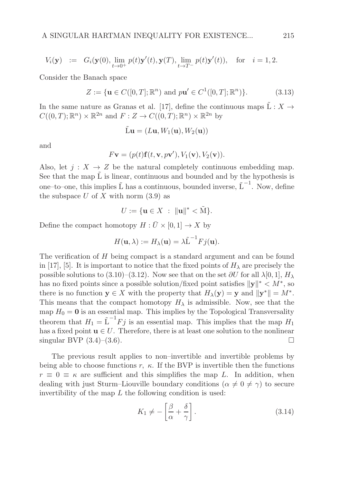$$
V_i(\mathbf{y}) \ := \ G_i(\mathbf{y}(0), \lim_{t \to 0^+} p(t)\mathbf{y}'(t), \mathbf{y}(T), \lim_{t \to T^-} p(t)\mathbf{y}'(t)), \quad \text{for} \quad i = 1, 2.
$$

Consider the Banach space

$$
Z := \{ \mathbf{u} \in C([0, T]; \mathbb{R}^n) \text{ and } p\mathbf{u}' \in C^1([0, T]; \mathbb{R}^n) \}. \tag{3.13}
$$

In the same nature as Granas et al. [17], define the continuous maps  $\tilde{L}: X \rightarrow$  $C((0,T);\mathbb{R}^n) \times \mathbb{R}^{2n}$  and  $F: Z \to C((0,T);\mathbb{R}^n) \times \mathbb{R}^{2n}$  by

$$
\mathbf{\tilde{L}}\mathbf{u} = (L\mathbf{u}, W_1(\mathbf{u}), W_2(\mathbf{u}))
$$

and

$$
F\mathbf{v} = (p(t)\mathbf{f}(t,\mathbf{v},p\mathbf{v}'), V_1(\mathbf{v}), V_2(\mathbf{v})).
$$

Also, let  $j : X \to Z$  be the natural completely continuous embedding map. See that the map  $\tilde{L}$  is linear, continuous and bounded and by the hypothesis is one–to–one, this implies  $\tilde{L}$  has a continuous, bounded inverse,  $\tilde{L}^{-1}$ . Now, define the subspace U of X with norm  $(3.9)$  as

$$
U:=\{\mathbf{u}\in X\ :\ \|\mathbf{u}\|^*<\tilde{\mathbf{M}}\}.
$$

Define the compact homotopy  $H : \bar{U} \times [0, 1] \to X$  by

$$
H(\mathbf{u}, \lambda) := H_{\lambda}(\mathbf{u}) = \lambda \tilde{\mathbf{L}}^{-1} F j(\mathbf{u}).
$$

The verification of H being compact is a standard argument and can be found in [17], [5]. It is important to notice that the fixed points of  $H_{\lambda}$  are precisely the possible solutions to (3.10)–(3.12). Now see that on the set  $\partial U$  for all  $\lambda[0,1], H_\lambda$ has no fixed points since a possible solution/fixed point satisfies  $||\mathbf{y}||^* \leq M^*$ , so there is no function  $y \in X$  with the property that  $H_{\lambda}(y) = y$  and  $||y^*|| = M^*$ . This means that the compact homotopy  $H_{\lambda}$  is admissible. Now, see that the map  $H_0 = 0$  is an essential map. This implies by the Topological Transversality theorem that  $H_1 = \tilde{L}^{-1}Fj$  is an essential map. This implies that the map  $H_1$ has a fixed point  $\mathbf{u} \in U$ . Therefore, there is at least one solution to the nonlinear singular BVP (3.4)–(3.6). singular BVP  $(3.4)–(3.6)$ .

The previous result applies to non–invertible and invertible problems by being able to choose functions  $r$ ,  $\kappa$ . If the BVP is invertible then the functions  $r \equiv 0 \equiv \kappa$  are sufficient and this simplifies the map L. In addition, when dealing with just Sturm–Liouville boundary conditions ( $\alpha \neq 0 \neq \gamma$ ) to secure invertibility of the map  $L$  the following condition is used:

$$
K_1 \neq -\left[\frac{\beta}{\alpha} + \frac{\delta}{\gamma}\right].\tag{3.14}
$$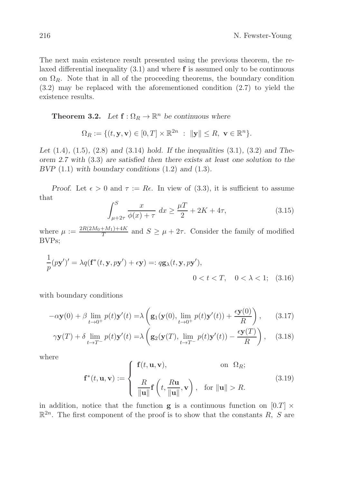The next main existence result presented using the previous theorem, the relaxed differential inequality  $(3.1)$  and where  $f$  is assumed only to be continuous on  $\Omega_R$ . Note that in all of the proceeding theorems, the boundary condition (3.2) may be replaced with the aforementioned condition (2.7) to yield the existence results.

**Theorem 3.2.** Let  $f: \Omega_R \to \mathbb{R}^n$  be continuous where

$$
\Omega_R := \{ (t, \mathbf{y}, \mathbf{v}) \in [0, T] \times \mathbb{R}^{2n} : ||\mathbf{y}|| \leq R, \ \mathbf{v} \in \mathbb{R}^n \}.
$$

*Let* (1.4)*,* (1.5)*,* (2.8) *and* (3.14) *hold. If the inequalities* (3.1)*,* (3.2) *and Theorem 2.7 with* (3.3) *are satisfied then there exists at least one solution to the BVP* (1.1) *with boundary conditions* (1.2) *and* (1.3)*.*

*Proof.* Let  $\epsilon > 0$  and  $\tau := Re$ . In view of (3.3), it is sufficient to assume that

$$
\int_{\mu+2\tau}^{S} \frac{x}{\phi(x)+\tau} \, dx \ge \frac{\mu T}{2} + 2K + 4\tau,\tag{3.15}
$$

where  $\mu := \frac{2R(2M_0 + M_1) + 4K}{T}$  $\frac{f^{(m)}(m+1)+4K}{T}$  and  $S \geq \mu + 2\tau$ . Consider the family of modified BVPs;

$$
\frac{1}{p}(py')' = \lambda q(\mathbf{f}^*(t, \mathbf{y}, py') + \epsilon \mathbf{y}) =: q\mathbf{g}_{\lambda}(t, \mathbf{y}, py'),
$$
  

$$
0 < t < T, \quad 0 < \lambda < 1; \quad (3.16)
$$

with boundary conditions

$$
-\alpha \mathbf{y}(0) + \beta \lim_{t \to 0^+} p(t) \mathbf{y}'(t) = \lambda \left( \mathbf{g}_1(\mathbf{y}(0), \lim_{t \to 0^+} p(t) \mathbf{y}'(t)) + \frac{\epsilon \mathbf{y}(0)}{R} \right), \quad (3.17)
$$

$$
\gamma \mathbf{y}(T) + \delta \lim_{t \to T^{-}} p(t) \mathbf{y}'(t) = \lambda \left( \mathbf{g}_2(\mathbf{y}(T), \lim_{t \to T^{-}} p(t) \mathbf{y}'(t)) - \frac{\epsilon \mathbf{y}(T)}{R} \right), \quad (3.18)
$$

where

$$
\mathbf{f}^*(t, \mathbf{u}, \mathbf{v}) := \begin{cases} \mathbf{f}(t, \mathbf{u}, \mathbf{v}), & \text{on } \Omega_R; \\ \frac{R}{\|\mathbf{u}\|} \mathbf{f}\left(t, \frac{R\mathbf{u}}{\|\mathbf{u}\|}, \mathbf{v}\right), & \text{for } \|\mathbf{u}\| > R. \end{cases}
$$
(3.19)

in addition, notice that the function **g** is a continuous function on  $[0.T] \times$  $\mathbb{R}^{2n}$ . The first component of the proof is to show that the constants R, S are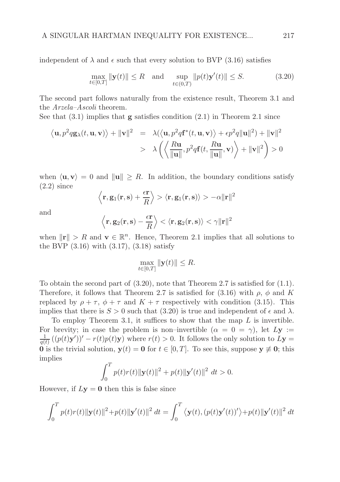independent of  $\lambda$  and  $\epsilon$  such that every solution to BVP (3.16) satisfies

$$
\max_{t \in [0,T]} \|\mathbf{y}(t)\| \le R \quad \text{and} \quad \sup_{t \in (0,T)} \|p(t)\mathbf{y}'(t)\| \le S. \tag{3.20}
$$

The second part follows naturally from the existence result, Theorem 3.1 and the Arzela-Ascoli theorem.

See that  $(3.1)$  implies that **g** satisfies condition  $(2.1)$  in Theorem 2.1 since

$$
\langle \mathbf{u}, p^2 q \mathbf{g}_{\lambda}(t, \mathbf{u}, \mathbf{v}) \rangle + ||\mathbf{v}||^2 = \lambda \langle \langle \mathbf{u}, p^2 q \mathbf{f}^*(t, \mathbf{u}, \mathbf{v}) \rangle + \epsilon p^2 q ||\mathbf{u}||^2) + ||\mathbf{v}||^2
$$
  
>  $\lambda \left( \langle \frac{R \mathbf{u}}{||\mathbf{u}||}, p^2 q \mathbf{f}(t, \frac{R \mathbf{u}}{||\mathbf{u}||}, \mathbf{v}) \rangle + ||\mathbf{v}||^2 \right) > 0$ 

when  $\langle \mathbf{u}, \mathbf{v} \rangle = 0$  and  $\|\mathbf{u}\| \geq R$ . In addition, the boundary conditions satisfy (2.2) since

$$
\left\langle \mathbf{r},\mathbf{g}_{1}(\mathbf{r},\mathbf{s})+\frac{\epsilon\mathbf{r}}{R}\right\rangle >\left\langle \mathbf{r},\mathbf{g}_{1}(\mathbf{r},\mathbf{s})\right\rangle >-\alpha\Vert\mathbf{r}\Vert^{2}
$$

and

$$
\left\langle \mathbf{r},\mathbf{g}_{2}(\mathbf{r},\mathbf{s})-\frac{\epsilon\mathbf{r}}{R}\right\rangle <\left\langle \mathbf{r},\mathbf{g}_{2}(\mathbf{r},\mathbf{s})\right\rangle <\gamma\Vert\mathbf{r}\Vert^{2}
$$

when  $\|\mathbf{r}\| > R$  and  $\mathbf{v} \in \mathbb{R}^n$ . Hence, Theorem 2.1 implies that all solutions to the BVP  $(3.16)$  with  $(3.17)$ ,  $(3.18)$  satisfy

$$
\max_{t \in [0,T]} \|\mathbf{y}(t)\| \le R.
$$

To obtain the second part of  $(3.20)$ , note that Theorem 2.7 is satisfied for  $(1.1)$ . Therefore, it follows that Theorem 2.7 is satisfied for (3.16) with  $\rho$ ,  $\phi$  and K replaced by  $\rho + \tau$ ,  $\phi + \tau$  and  $K + \tau$  respectively with condition (3.15). This implies that there is  $S > 0$  such that (3.20) is true and independent of  $\epsilon$  and  $\lambda$ .

To employ Theorem 3.1, it suffices to show that the map  $L$  is invertible. For brevity; in case the problem is non–invertible  $(\alpha = 0 = \gamma)$ , let  $Ly :=$ 1  $\frac{1}{q(t)}((p(t)\mathbf{y}'))' - r(t)p(t)\mathbf{y})$  where  $r(t) > 0$ . It follows the only solution to  $L\mathbf{y} =$ 0 is the trivial solution,  $y(t) = 0$  for  $t \in [0, T]$ . To see this, suppose  $y \neq 0$ ; this implies

$$
\int_0^T p(t)r(t) \|\mathbf{y}(t)\|^2 + p(t) \|\mathbf{y}'(t)\|^2 dt > 0.
$$

However, if  $Ly = 0$  then this is false since

$$
\int_0^T p(t)r(t) \|\mathbf{y}(t)\|^2 + p(t) \|\mathbf{y}'(t)\|^2 dt = \int_0^T \langle \mathbf{y}(t), (p(t)\mathbf{y}'(t))'\rangle + p(t) \|\mathbf{y}'(t)\|^2 dt
$$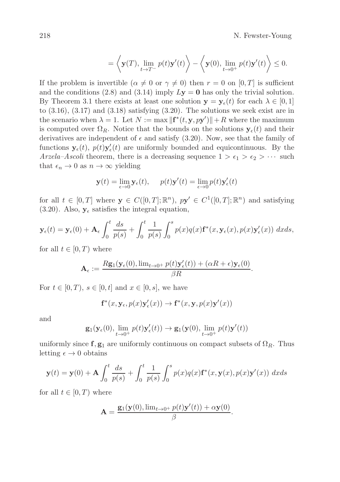218 N. Fewster-Young

$$
= \left\langle \mathbf{y}(T), \lim_{t \to T^-} p(t)\mathbf{y}'(t) \right\rangle - \left\langle \mathbf{y}(0), \lim_{t \to 0^+} p(t)\mathbf{y}'(t) \right\rangle \le 0.
$$

If the problem is invertible  $(\alpha \neq 0 \text{ or } \gamma \neq 0)$  then  $r = 0$  on  $[0, T]$  is sufficient and the conditions (2.8) and (3.14) imply  $Ly = 0$  has only the trivial solution. By Theorem 3.1 there exists at least one solution  $y = y_{\epsilon}(t)$  for each  $\lambda \in [0, 1]$ to  $(3.16)$ ,  $(3.17)$  and  $(3.18)$  satisfying  $(3.20)$ . The solutions we seek exist are in the scenario when  $\lambda = 1$ . Let  $N := \max \| \mathbf{f}^*(t, \mathbf{y}, p\mathbf{y}') \| + R$  where the maximum is computed over  $\Omega_R$ . Notice that the bounds on the solutions  $y_\epsilon(t)$  and their derivatives are independent of  $\epsilon$  and satisfy (3.20). Now, see that the family of functions  $\mathbf{y}_{\epsilon}(t)$ ,  $p(t)\mathbf{y}'_{\epsilon}(t)$  are uniformly bounded and equicontinuous. By the Arzela–Ascoli theorem, there is a decreasing sequence  $1 > \epsilon_1 > \epsilon_2 > \cdots$  such that  $\epsilon_n \to 0$  as  $n \to \infty$  yielding

$$
\mathbf{y}(t) = \lim_{\epsilon \to 0} \mathbf{y}_{\epsilon}(t), \quad p(t)\mathbf{y}'(t) = \lim_{\epsilon \to 0} p(t)\mathbf{y}'_{\epsilon}(t)
$$

for all  $t \in [0,T]$  where  $\mathbf{y} \in C([0,T];\mathbb{R}^n)$ ,  $p\mathbf{y}' \in C^1([0,T];\mathbb{R}^n)$  and satisfying (3.20). Also,  $y_{\epsilon}$  satisfies the integral equation,

$$
\mathbf{y}_{\epsilon}(t) = \mathbf{y}_{\epsilon}(0) + \mathbf{A}_{\epsilon} \int_0^t \frac{ds}{p(s)} + \int_0^t \frac{1}{p(s)} \int_0^s p(x)q(x) \mathbf{f}^*(x, \mathbf{y}_{\epsilon}(x), p(x) \mathbf{y}_{\epsilon}'(x)) dx ds,
$$

for all  $t \in [0, T)$  where

$$
\mathbf{A}_{\epsilon} := \frac{R\mathbf{g}_1(\mathbf{y}_{\epsilon}(0), \lim_{t \to 0^+} p(t)\mathbf{y}_{\epsilon}'(t)) + (\alpha R + \epsilon)\mathbf{y}_{\epsilon}(0)}{\beta R}.
$$

For  $t \in [0, T)$ ,  $s \in [0, t]$  and  $x \in [0, s]$ , we have

$$
\mathbf{f}^*(x, \mathbf{y}_{\epsilon}, p(x)\mathbf{y}_{\epsilon}'(x)) \to \mathbf{f}^*(x, \mathbf{y}, p(x)\mathbf{y}'(x))
$$

and

$$
\mathbf{g}_1(\mathbf{y}_{\epsilon}(0), \lim_{t \to 0^+} p(t)\mathbf{y}_{\epsilon}'(t)) \to \mathbf{g}_1(\mathbf{y}(0), \lim_{t \to 0^+} p(t)\mathbf{y}'(t))
$$

uniformly since f,  $\mathbf{g}_1$  are uniformly continuous on compact subsets of  $\Omega_R$ . Thus letting  $\epsilon \to 0$  obtains

$$
\mathbf{y}(t) = \mathbf{y}(0) + \mathbf{A} \int_0^t \frac{ds}{p(s)} + \int_0^t \frac{1}{p(s)} \int_0^s p(x)q(x)\mathbf{f}^*(x,\mathbf{y}(x),p(x)\mathbf{y}'(x)) dx ds
$$

for all  $t \in [0, T)$  where

$$
\mathbf{A} = \frac{\mathbf{g}_1(\mathbf{y}(0), \lim_{t \to 0^+} p(t)\mathbf{y}'(t)) + \alpha \mathbf{y}(0)}{\beta}.
$$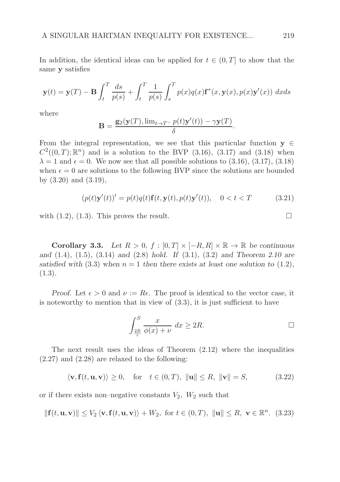In addition, the identical ideas can be applied for  $t \in (0, T]$  to show that the same y satisfies

$$
\mathbf{y}(t) = \mathbf{y}(T) - \mathbf{B} \int_t^T \frac{ds}{p(s)} + \int_t^T \frac{1}{p(s)} \int_s^T p(x)q(x)\mathbf{f}^*(x, \mathbf{y}(x), p(x)\mathbf{y}'(x)) dx ds
$$

where

$$
\mathbf{B} = \frac{\mathbf{g}_2(\mathbf{y}(T), \lim_{t \to T^-} p(t)\mathbf{y}'(t)) - \gamma \mathbf{y}(T)}{\delta}.
$$

From the integral representation, we see that this particular function  $y \in$  $C^2((0,T);\mathbb{R}^n)$  and is a solution to the BVP (3.16), (3.17) and (3.18) when  $\lambda = 1$  and  $\epsilon = 0$ . We now see that all possible solutions to (3.16), (3.17), (3.18) when  $\epsilon = 0$  are solutions to the following BVP since the solutions are bounded by (3.20) and (3.19),

$$
(p(t)\mathbf{y}'(t))' = p(t)q(t)\mathbf{f}(t,\mathbf{y}(t),p(t)\mathbf{y}'(t)), \quad 0 < t < T
$$
\n(3.21)

with  $(1.2)$ ,  $(1.3)$ . This proves the result.

**Corollary 3.3.** *Let*  $R > 0$ ,  $f : [0, T] \times [-R, R] \times \mathbb{R} \to \mathbb{R}$  *be continuous and* (1.4)*,* (1.5)*,* (3.14) *and* (2.8) *hold. If* (3.1)*,* (3.2) *and Theorem 2.10 are satisfied with* (3.3) *when*  $n = 1$  *then there exists at least one solution to* (1.2)*,* (1.3)*.*

*Proof.* Let  $\epsilon > 0$  and  $\nu := Re$ . The proof is identical to the vector case, it is noteworthy to mention that in view of (3.3), it is just sufficient to have

$$
\int_{\frac{2R}{\tau}}^{S} \frac{x}{\phi(x) + \nu} dx \ge 2R.
$$

The next result uses the ideas of Theorem  $(2.12)$  where the inequalities (2.27) and (2.28) are relaxed to the following:

$$
\langle \mathbf{v}, \mathbf{f}(t, \mathbf{u}, \mathbf{v}) \rangle \ge 0, \quad \text{for} \quad t \in (0, T), \ \|\mathbf{u}\| \le R, \ \|\mathbf{v}\| = S,\tag{3.22}
$$

or if there exists non-negative constants  $V_2$ ,  $W_2$  such that

$$
\|\mathbf{f}(t,\mathbf{u},\mathbf{v})\| \le V_2 \langle \mathbf{v}, \mathbf{f}(t,\mathbf{u},\mathbf{v}) \rangle + W_2, \text{ for } t \in (0,T), \ \|\mathbf{u}\| \le R, \ \mathbf{v} \in \mathbb{R}^n. \tag{3.23}
$$

$$
\qquad \qquad \Box
$$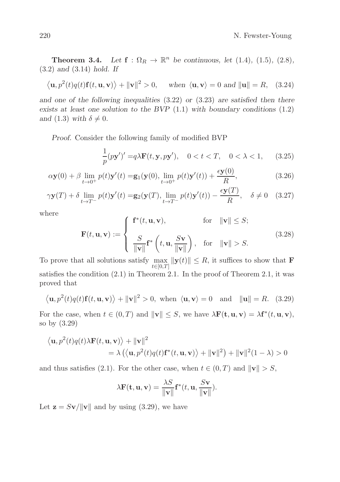**Theorem 3.4.** *Let*  $f : \Omega_R \to \mathbb{R}^n$  *be continuous, let* (1.4)*,* (1.5)*,* (2.8*),* (3.2) *and* (3.14) *hold. If*

$$
\langle \mathbf{u}, p^2(t)q(t)\mathbf{f}(t, \mathbf{u}, \mathbf{v}) \rangle + ||\mathbf{v}||^2 > 0
$$
, when  $\langle \mathbf{u}, \mathbf{v} \rangle = 0$  and  $||\mathbf{u}|| = R$ , (3.24)

*and one of the following inequalities* (3.22) *or* (3.23) *are satisfied then there exists at least one solution to the BVP* (1.1) *with boundary conditions* (1.2) *and* (1.3) *with*  $\delta \neq 0$ *.* 

*Proof.* Consider the following family of modified BVP

$$
\frac{1}{p}(p\mathbf{y}')' = q\lambda \mathbf{F}(t, \mathbf{y}, p\mathbf{y}'), \quad 0 < t < T, \quad 0 < \lambda < 1,\tag{3.25}
$$

$$
\alpha \mathbf{y}(0) + \beta \lim_{t \to 0^+} p(t) \mathbf{y}'(t) = \mathbf{g}_1(\mathbf{y}(0), \lim_{t \to 0^+} p(t) \mathbf{y}'(t)) + \frac{\epsilon \mathbf{y}(0)}{R},
$$
\n(3.26)

$$
\gamma \mathbf{y}(T) + \delta \lim_{t \to T^{-}} p(t) \mathbf{y}'(t) = \mathbf{g}_2(\mathbf{y}(T), \lim_{t \to T^{-}} p(t) \mathbf{y}'(t)) - \frac{\epsilon \mathbf{y}(T)}{R}, \quad \delta \neq 0 \quad (3.27)
$$

where

$$
\mathbf{F}(t, \mathbf{u}, \mathbf{v}) := \begin{cases} \mathbf{f}^*(t, \mathbf{u}, \mathbf{v}), & \text{for} \quad \|\mathbf{v}\| \leq S; \\ \frac{S}{\|\mathbf{v}\|} \mathbf{f}^*\left(t, \mathbf{u}, \frac{S\mathbf{v}}{\|\mathbf{v}\|}\right), & \text{for} \quad \|\mathbf{v}\| > S. \end{cases}
$$
(3.28)

To prove that all solutions satisfy max  $\max_{t\in[0,T]} \|\mathbf{y}(t)\| \leq R$ , it suffices to show that **F** satisfies the condition (2.1) in Theorem 2.1. In the proof of Theorem 2.1, it was proved that

$$
\langle \mathbf{u}, p^2(t)q(t)\mathbf{f}(t, \mathbf{u}, \mathbf{v}) \rangle + ||\mathbf{v}||^2 > 0
$$
, when  $\langle \mathbf{u}, \mathbf{v} \rangle = 0$  and  $||\mathbf{u}|| = R$ . (3.29)

For the case, when  $t \in (0, T)$  and  $||\mathbf{v}|| \leq S$ , we have  $\lambda \mathbf{F}(\mathbf{t}, \mathbf{u}, \mathbf{v}) = \lambda \mathbf{f}^*(t, \mathbf{u}, \mathbf{v})$ , so by (3.29)

$$
\langle \mathbf{u}, p^2(t)q(t)\lambda \mathbf{F}(t, \mathbf{u}, \mathbf{v}) \rangle + ||\mathbf{v}||^2
$$
  
=  $\lambda (\langle \mathbf{u}, p^2(t)q(t)\mathbf{f}^*(t, \mathbf{u}, \mathbf{v}) \rangle + ||\mathbf{v}||^2) + ||\mathbf{v}||^2(1 - \lambda) > 0$ 

and thus satisfies (2.1). For the other case, when  $t \in (0, T)$  and  $\|\mathbf{v}\| > S$ ,

$$
\lambda \mathbf{F}(\mathbf{t}, \mathbf{u}, \mathbf{v}) = \frac{\lambda S}{\|\mathbf{v}\|} \mathbf{f}^*(t, \mathbf{u}, \frac{S\mathbf{v}}{\|\mathbf{v}\|}).
$$

Let  $\mathbf{z} = S\mathbf{v}/\|\mathbf{v}\|$  and by using (3.29), we have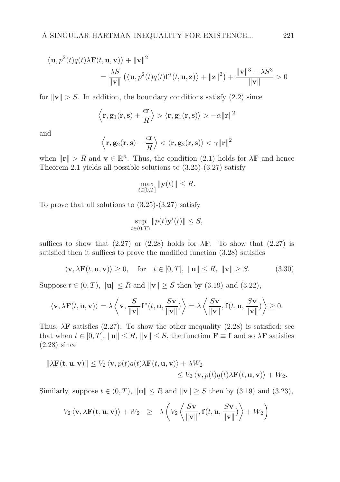$$
\langle \mathbf{u}, p^2(t)q(t)\lambda \mathbf{F}(t, \mathbf{u}, \mathbf{v}) \rangle + ||\mathbf{v}||^2
$$
  
= 
$$
\frac{\lambda S}{||\mathbf{v}||} (\langle \mathbf{u}, p^2(t)q(t)\mathbf{f}^*(t, \mathbf{u}, \mathbf{z}) \rangle + ||\mathbf{z}||^2) + \frac{||\mathbf{v}||^3 - \lambda S^3}{||\mathbf{v}||} > 0
$$

for  $\|\mathbf{v}\| > S$ . In addition, the boundary conditions satisfy (2.2) since

$$
\left\langle \mathbf{r},\mathbf{g}_{1}(\mathbf{r},\mathbf{s})+\frac{\epsilon\mathbf{r}}{R}\right\rangle >\left\langle \mathbf{r},\mathbf{g}_{1}(\mathbf{r},\mathbf{s})\right\rangle >-\alpha\Vert\mathbf{r}\Vert^{2}
$$

and

$$
\left\langle \mathbf{r},\mathbf{g}_{2}(\mathbf{r},\mathbf{s})-\frac{\epsilon\mathbf{r}}{R}\right\rangle <\left\langle \mathbf{r},\mathbf{g}_{2}(\mathbf{r},\mathbf{s})\right\rangle <\gamma\Vert\mathbf{r}\Vert^{2}
$$

when  $\|\mathbf{r}\| > R$  and  $\mathbf{v} \in \mathbb{R}^n$ . Thus, the condition (2.1) holds for  $\lambda \mathbf{F}$  and hence Theorem 2.1 yields all possible solutions to  $(3.25)-(3.27)$  satisfy

$$
\max_{t \in [0,T]} \|\mathbf{y}(t)\| \le R.
$$

To prove that all solutions to  $(3.25)-(3.27)$  satisfy

$$
\sup_{t \in (0,T)} \|p(t)\mathbf{y}'(t)\| \le S,
$$

suffices to show that (2.27) or (2.28) holds for  $\lambda$ **F**. To show that (2.27) is satisfied then it suffices to prove the modified function (3.28) satisfies

 $\langle \mathbf{v}, \lambda \mathbf{F}(t, \mathbf{u}, \mathbf{v}) \rangle \ge 0$ , for  $t \in [0, T]$ ,  $\|\mathbf{u}\| \le R$ ,  $\|\mathbf{v}\| \ge S$ . (3.30)

Suppose  $t \in (0, T)$ ,  $\|\mathbf{u}\| \leq R$  and  $\|\mathbf{v}\| \geq S$  then by (3.19) and (3.22),

$$
\langle \mathbf{v}, \lambda \mathbf{F}(t, \mathbf{u}, \mathbf{v}) \rangle = \lambda \langle \mathbf{v}, \frac{S}{\|\mathbf{v}\|} \mathbf{f}^*(t, \mathbf{u}, \frac{S\mathbf{v}}{\|\mathbf{v}\|}) \rangle = \lambda \langle \frac{S\mathbf{v}}{\|\mathbf{v}\|}, \mathbf{f}(t, \mathbf{u}, \frac{S\mathbf{v}}{\|\mathbf{v}\|}) \rangle \ge 0.
$$

Thus,  $\lambda$ **F** satisfies (2.27). To show the other inequality (2.28) is satisfied; see that when  $t \in [0, T]$ ,  $\|\mathbf{u}\| \leq R$ ,  $\|\mathbf{v}\| \leq S$ , the function  $\mathbf{F} \equiv \mathbf{f}$  and so  $\lambda \mathbf{F}$  satisfies (2.28) since

$$
\|\lambda \mathbf{F}(\mathbf{t}, \mathbf{u}, \mathbf{v})\| \leq V_2 \langle \mathbf{v}, p(t) q(t) \lambda \mathbf{F}(t, \mathbf{u}, \mathbf{v}) \rangle + \lambda W_2
$$
  
\$\leq V\_2 \langle \mathbf{v}, p(t) q(t) \lambda \mathbf{F}(t, \mathbf{u}, \mathbf{v}) \rangle + W\_2\$.

Similarly, suppose  $t \in (0, T)$ ,  $\|\mathbf{u}\| \leq R$  and  $\|\mathbf{v}\| \geq S$  then by (3.19) and (3.23),

$$
V_2 \langle \mathbf{v}, \lambda \mathbf{F}(\mathbf{t}, \mathbf{u}, \mathbf{v}) \rangle + W_2 \geq \lambda \left( V_2 \left\langle \frac{S \mathbf{v}}{\|\mathbf{v}\|}, \mathbf{f}(t, \mathbf{u}, \frac{S \mathbf{v}}{\|\mathbf{v}\|}) \right\rangle + W_2 \right)
$$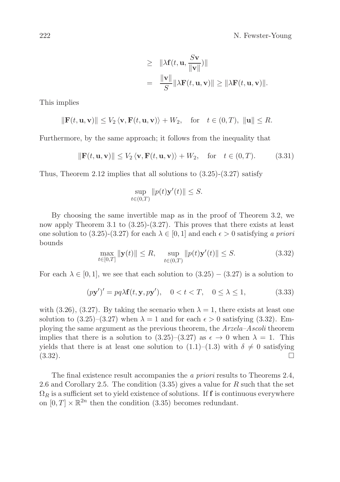$$
\geq \|\lambda \mathbf{f}(t, \mathbf{u}, \frac{S\mathbf{v}}{\|\mathbf{v}\|})\|
$$
  
= 
$$
\frac{\|\mathbf{v}\|}{S}\|\lambda \mathbf{F}(t, \mathbf{u}, \mathbf{v})\| \geq \|\lambda \mathbf{F}(t, \mathbf{u}, \mathbf{v})\|.
$$

This implies

$$
\|\mathbf{F}(t,\mathbf{u},\mathbf{v})\| \le V_2 \langle \mathbf{v}, \mathbf{F}(t,\mathbf{u},\mathbf{v}) \rangle + W_2, \quad \text{for} \quad t \in (0,T), \ \|\mathbf{u}\| \le R.
$$

Furthermore, by the same approach; it follows from the inequality that

$$
\|\mathbf{F}(t,\mathbf{u},\mathbf{v})\| \le V_2 \langle \mathbf{v}, \mathbf{F}(t,\mathbf{u},\mathbf{v}) \rangle + W_2, \quad \text{for} \quad t \in (0,T). \tag{3.31}
$$

Thus, Theorem 2.12 implies that all solutions to  $(3.25)-(3.27)$  satisfy

$$
\sup_{t\in(0,T)}\|p(t)\mathbf{y}'(t)\| \leq S.
$$

By choosing the same invertible map as in the proof of Theorem 3.2, we now apply Theorem 3.1 to (3.25)-(3.27). This proves that there exists at least one solution to (3.25)-(3.27) for each  $\lambda \in [0, 1]$  and each  $\epsilon > 0$  satisfying a priori bounds

$$
\max_{t \in [0,T]} \|\mathbf{y}(t)\| \le R, \quad \sup_{t \in (0,T)} \|p(t)\mathbf{y}'(t)\| \le S. \tag{3.32}
$$

For each  $\lambda \in [0, 1]$ , we see that each solution to  $(3.25) - (3.27)$  is a solution to

$$
(p\mathbf{y}')' = pq\lambda \mathbf{f}(t, \mathbf{y}, p\mathbf{y}'), \quad 0 < t < T, \quad 0 \le \lambda \le 1,\tag{3.33}
$$

with  $(3.26)$ ,  $(3.27)$ . By taking the scenario when  $\lambda = 1$ , there exists at least one solution to  $(3.25)-(3.27)$  when  $\lambda = 1$  and for each  $\epsilon > 0$  satisfying  $(3.32)$ . Employing the same argument as the previous theorem, the Arzela–Ascoli theorem implies that there is a solution to  $(3.25)-(3.27)$  as  $\epsilon \to 0$  when  $\lambda = 1$ . This yields that there is at least one solution to  $(1.1)$ – $(1.3)$  with  $\delta \neq 0$  satisfying  $(3.32)$ .  $(3.32).$ 

The final existence result accompanies the a priori results to Theorems 2.4, 2.6 and Corollary 2.5. The condition  $(3.35)$  gives a value for R such that the set  $\Omega_R$  is a sufficient set to yield existence of solutions. If f is continuous everywhere on  $[0, T] \times \mathbb{R}^{2n}$  then the condition (3.35) becomes redundant.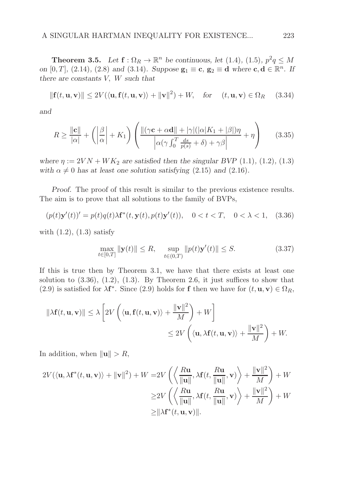**Theorem 3.5.** Let  $f: \Omega_R \to \mathbb{R}^n$  be continuous, let (1.4), (1.5),  $p^2q \leq M$ *on* [0, *T*], (2.14), (2.8) *and* (3.14)*. Suppose*  $\mathbf{g}_1 \equiv \mathbf{c}$ ,  $\mathbf{g}_2 \equiv \mathbf{d}$  *where*  $\mathbf{c}, \mathbf{d} \in \mathbb{R}^n$ *. If there are constants* V, W *such that*

$$
\|\mathbf{f}(t,\mathbf{u},\mathbf{v})\| \le 2V(\langle \mathbf{u}, \mathbf{f}(t,\mathbf{u},\mathbf{v}) \rangle + \|\mathbf{v}\|^2) + W, \quad \text{for} \quad (t,\mathbf{u},\mathbf{v}) \in \Omega_R \tag{3.34}
$$

*and*

$$
R \ge \frac{\|\mathbf{c}\|}{|\alpha|} + \left(\left|\frac{\beta}{\alpha}\right| + K_1\right) \left(\frac{\|(\gamma \mathbf{c} + \alpha \mathbf{d}\| + |\gamma|(|\alpha|K_1 + |\beta|)\eta}{\left|\alpha(\gamma \int_0^T \frac{ds}{p(s)} + \delta) + \gamma \beta\right|} + \eta\right) \tag{3.35}
$$

*where*  $\eta := 2VN + WK_2$  *are satisfied then the singular BVP* (1.1)*,* (1.2*),* (1.3*) with*  $\alpha \neq 0$  *has at least one solution satisfying* (2.15) *and* (2.16)*.* 

*Proof.* The proof of this result is similar to the previous existence results. The aim is to prove that all solutions to the family of BVPs,

$$
(p(t)\mathbf{y}'(t))' = p(t)q(t)\lambda \mathbf{f}^*(t, \mathbf{y}(t), p(t)\mathbf{y}'(t)), \quad 0 < t < T, \quad 0 < \lambda < 1,\tag{3.36}
$$

with  $(1.2)$ ,  $(1.3)$  satisfy

$$
\max_{t \in [0,T]} \|\mathbf{y}(t)\| \le R, \quad \sup_{t \in (0,T)} \|p(t)\mathbf{y}'(t)\| \le S. \tag{3.37}
$$

If this is true then by Theorem 3.1, we have that there exists at least one solution to  $(3.36)$ ,  $(1.2)$ ,  $(1.3)$ . By Theorem 2.6, it just suffices to show that (2.9) is satisfied for  $\lambda f^*$ . Since (2.9) holds for f then we have for  $(t, \mathbf{u}, \mathbf{v}) \in \Omega_R$ ,

$$
\|\lambda \mathbf{f}(t, \mathbf{u}, \mathbf{v})\| \leq \lambda \left[ 2V\left( \langle \mathbf{u}, \mathbf{f}(t, \mathbf{u}, \mathbf{v}) \rangle + \frac{\|\mathbf{v}\|^2}{M} \right) + W \right] \leq 2V\left( \langle \mathbf{u}, \lambda \mathbf{f}(t, \mathbf{u}, \mathbf{v}) \rangle + \frac{\|\mathbf{v}\|^2}{M} \right) + W.
$$

In addition, when  $\|\mathbf{u}\| > R$ ,

$$
2V(\langle \mathbf{u}, \lambda \mathbf{f}^*(t, \mathbf{u}, \mathbf{v}) \rangle + \|\mathbf{v}\|^2) + W = 2V\left(\left\langle \frac{R\mathbf{u}}{\|\mathbf{u}\|}, \lambda \mathbf{f}(t, \frac{R\mathbf{u}}{\|\mathbf{u}\|}, \mathbf{v}) \right\rangle + \frac{\|\mathbf{v}\|^2}{M}\right) + W
$$
  
\n
$$
\geq 2V\left(\left\langle \frac{R\mathbf{u}}{\|\mathbf{u}\|}, \lambda \mathbf{f}(t, \frac{R\mathbf{u}}{\|\mathbf{u}\|}, \mathbf{v}) \right\rangle + \frac{\|\mathbf{v}\|^2}{M}\right) + W
$$
  
\n
$$
\geq \|\lambda \mathbf{f}^*(t, \mathbf{u}, \mathbf{v})\|.
$$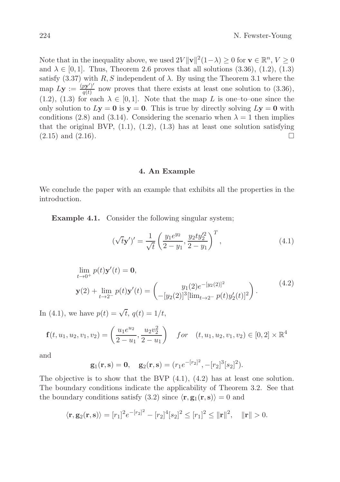Note that in the inequality above, we used  $2V \|\mathbf{v}\|^2 (1-\lambda) \geq 0$  for  $\mathbf{v} \in \mathbb{R}^n$ ,  $V \geq 0$ and  $\lambda \in [0, 1]$ . Thus, Theorem 2.6 proves that all solutions  $(3.36)$ ,  $(1.2)$ ,  $(1.3)$ satisfy (3.37) with  $R, S$  independent of  $\lambda$ . By using the Theorem 3.1 where the map  $Ly := \frac{(py')'}{a(t)}$  $\frac{py}{q(t)}$  now proves that there exists at least one solution to  $(3.36)$ , (1.2), (1.3) for each  $\lambda \in [0,1]$ . Note that the map L is one–to–one since the only solution to  $Ly = 0$  is  $y = 0$ . This is true by directly solving  $Ly = 0$  with conditions (2.8) and (3.14). Considering the scenario when  $\lambda = 1$  then implies that the original BVP,  $(1.1)$ ,  $(1.2)$ ,  $(1.3)$  has at least one solution satisfying  $(2.15)$  and  $(2.16)$ .

#### 4. An Example

We conclude the paper with an example that exhibits all the properties in the introduction.

Example 4.1. Consider the following singular system;

$$
(\sqrt{t}\mathbf{y}')' = \frac{1}{\sqrt{t}} \left(\frac{y_1 e^{y_2}}{2 - y_1}, \frac{y_2 t y_2'^2}{2 - y_1}\right)^T, \tag{4.1}
$$

$$
\lim_{t \to 0^{+}} p(t) \mathbf{y}'(t) = \mathbf{0},
$$
\n
$$
\mathbf{y}(2) + \lim_{t \to 2^{-}} p(t) \mathbf{y}'(t) = \begin{pmatrix} y_1(2)e^{-[y_2(2)]^2} \\ -[y_2(2)]^3[\lim_{t \to 2^{-}} p(t)y_2'(t)]^2 \end{pmatrix}.
$$
\n(4.2)

In (4.1), we have  $p(t) = \sqrt{t}$ ,  $q(t) = 1/t$ ,

$$
\mathbf{f}(t, u_1, u_2, v_1, v_2) = \left(\frac{u_1 e^{u_2}}{2 - u_1}, \frac{u_2 v_2^2}{2 - u_1}\right) \quad \text{for} \quad (t, u_1, u_2, v_1, v_2) \in [0, 2] \times \mathbb{R}^4
$$

and

$$
g_1(r,s) = 0
$$
,  $g_2(r,s) = (r_1e^{-[r_2]^2}, -[r_2]^3[s_2]^2)$ .

The objective is to show that the BVP  $(4.1)$ ,  $(4.2)$  has at least one solution. The boundary conditions indicate the applicability of Theorem 3.2. See that the boundary conditions satisfy (3.2) since  $\langle \mathbf{r}, \mathbf{g}_1(\mathbf{r}, \mathbf{s}) \rangle = 0$  and

$$
\langle \mathbf{r}, \mathbf{g}_2(\mathbf{r}, \mathbf{s}) \rangle = [r_1]^2 e^{-[r_2]^2} - [r_2]^4 [s_2]^2 \le [r_1]^2 \le ||\mathbf{r}||^2, \quad ||\mathbf{r}|| > 0.
$$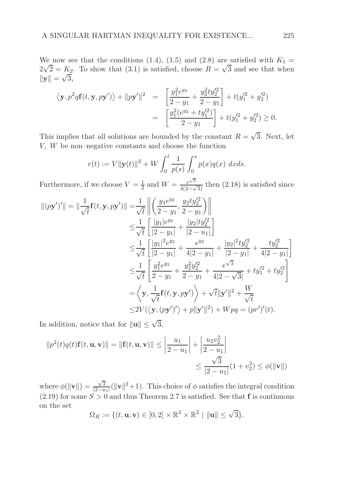We now see that the conditions (1.4), (1.5) and (2.8) are satisfied with  $K_1 =$  $2\sqrt{2} = K_2$ . To show that (3.1) is satisfied, choose  $R = \sqrt{3}$  and see that when  $||\mathbf{y}|| = \sqrt{3},$ 

$$
\langle \mathbf{y}, p^2 q \mathbf{f}(t, \mathbf{y}, p\mathbf{y}') \rangle + ||p\mathbf{y}'||^2 = \left[ \frac{y_1^2 e^{y_2}}{2 - y_1} + \frac{y_2^2 t y_2'^2}{2 - y_1} \right] + t(y_1'^2 + y_2'^2)
$$
  
= 
$$
\left[ \frac{y_1^2 (e^{y_2} + t y_1'^2)}{2 - y_1} \right] + t(y_1'^2 + y_2'^2) \ge 0.
$$

This implies that all solutions are bounded by the constant  $R = \sqrt{3}$ . Next, let V, W be non–negative constants and choose the function

$$
r(t) := V ||\mathbf{y}(t)||^2 + W \int_0^t \frac{1}{p(s)} \int_0^s p(x) q(x) \ dx ds.
$$

Furthermore, if we choose  $V=\frac{1}{2}$  $\frac{1}{2}$  and  $W = \frac{e^{\sqrt{3}}}{4(2-\sqrt{3})}$  $\frac{e^{i\theta}}{4(2-\sqrt{3})}$  then (2.18) is satisfied since

$$
||(py')'|| = ||\frac{1}{\sqrt{t}}\mathbf{f}(t, \mathbf{y}, py')|| = \frac{1}{\sqrt{t}} \left\| \left( \frac{y_1 e^{y_2}}{2 - y_1}, \frac{y_2 t y_2'^2}{2 - y_1} \right) \right\|
$$
  
\n
$$
\leq \frac{1}{\sqrt{t}} \left[ \frac{|y_1| e^{y_2}}{|2 - y_1|} + \frac{|y_2| t y_2'^2}{|2 - u_1|} \right]
$$
  
\n
$$
\leq \frac{1}{\sqrt{t}} \left[ \frac{|y_1|^2 e^{y_2}}{|2 - y_1|} + \frac{e^{y_2}}{4|2 - y_1|} + \frac{|y_2|^2 t y_2'^2}{|2 - y_1|} + \frac{t y_2'^2}{4|2 - y_1|} \right]
$$
  
\n
$$
\leq \frac{1}{\sqrt{t}} \left[ \frac{y_1^2 e^{y_2}}{2 - y_1} + \frac{y_2^2 y_2'^2}{2 - y_1} + \frac{e^{\sqrt{3}}}{4|2 - \sqrt{3}|} + t y_1'^2 + t y_2'^2 \right]
$$
  
\n
$$
= \left\langle \mathbf{y}, \frac{1}{\sqrt{t}} \mathbf{f}(t, \mathbf{y}, py') \right\rangle + \sqrt{t} ||\mathbf{y}'||^2 + \frac{W}{\sqrt{t}}
$$
  
\n
$$
\leq 2V(\left\langle \mathbf{y}, (py'\right)'\right\rangle + p ||\mathbf{y}'||^2) + Wpq = (pr')'(t).
$$

In addition, notice that for  $\|\mathbf{u}\| \leq \sqrt{3}$ ,

$$
||p^{2}(t)q(t)\mathbf{f}(t,\mathbf{u},\mathbf{v})|| = ||\mathbf{f}(t,\mathbf{u},\mathbf{v})|| \le \left|\frac{u_{1}}{2-u_{1}}\right| + \left|\frac{u_{2}v_{2}^{2}}{2-u_{1}}\right|
$$
  

$$
\le \frac{\sqrt{3}}{|2-u_{1}|}(1+v_{2}^{2}) \le \phi(||\mathbf{v}||)
$$

where  $\phi(\|\mathbf{v}\|) = \frac{\sqrt{3}}{|2-u|}$  $\frac{\sqrt{3}}{|2-u_1|}(||\mathbf{v}||^2+1)$ . This choice of  $\phi$  satisfies the integral condition  $(2.19)$  for some  $S > 0$  and thus Theorem 2.7 is satisfied. See that f is continuous on the set

$$
\Omega_R := \{ (t, \mathbf{u}, \mathbf{v}) \in [0, 2] \times \mathbb{R}^2 \times \mathbb{R}^2 \mid \|\mathbf{u}\| \le \sqrt{3} \}.
$$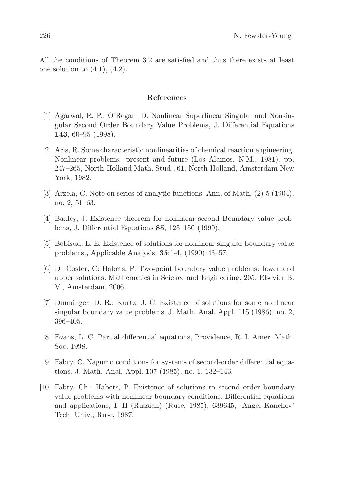All the conditions of Theorem 3.2 are satisfied and thus there exists at least one solution to  $(4.1)$ ,  $(4.2)$ .

## References

- [1] Agarwal, R. P.; O'Regan, D. Nonlinear Superlinear Singular and Nonsingular Second Order Boundary Value Problems, J. Differential Equations 143, 60–95 (1998).
- [2] Aris, R. Some characteristic nonlinearities of chemical reaction engineering. Nonlinear problems: present and future (Los Alamos, N.M., 1981), pp. 247–265, North-Holland Math. Stud., 61, North-Holland, Amsterdam-New York, 1982.
- [3] Arzela, C. Note on series of analytic functions. Ann. of Math. (2) 5 (1904), no. 2, 51–63.
- [4] Baxley, J. Existence theorem for nonlinear second Boundary value problems, J. Differential Equations 85, 125–150 (1990).
- [5] Bobisud, L. E. Existence of solutions for nonlinear singular boundary value problems., Applicable Analysis, 35:1-4, (1990) 43–57.
- [6] De Coster, C; Habets, P. Two-point boundary value problems: lower and upper solutions. Mathematics in Science and Engineering, 205. Elsevier B. V., Amsterdam, 2006.
- [7] Dunninger, D. R.; Kurtz, J. C. Existence of solutions for some nonlinear singular boundary value problems. J. Math. Anal. Appl. 115 (1986), no. 2, 396–405.
- [8] Evans, L. C. Partial differential equations, Providence, R. I. Amer. Math. Soc, 1998.
- [9] Fabry, C. Nagumo conditions for systems of second-order differential equations. J. Math. Anal. Appl. 107 (1985), no. 1, 132–143.
- [10] Fabry, Ch.; Habets, P. Existence of solutions to second order boundary value problems with nonlinear boundary conditions. Differential equations and applications, I, II (Russian) (Ruse, 1985), 639645, 'Angel Kanchev' Tech. Univ., Ruse, 1987.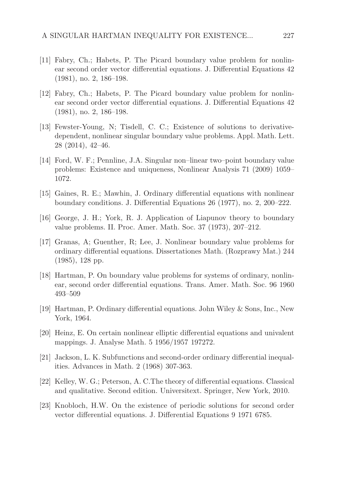- [11] Fabry, Ch.; Habets, P. The Picard boundary value problem for nonlinear second order vector differential equations. J. Differential Equations 42 (1981), no. 2, 186–198.
- [12] Fabry, Ch.; Habets, P. The Picard boundary value problem for nonlinear second order vector differential equations. J. Differential Equations 42 (1981), no. 2, 186–198.
- [13] Fewster-Young, N; Tisdell, C. C.; Existence of solutions to derivativedependent, nonlinear singular boundary value problems. Appl. Math. Lett. 28 (2014), 42–46.
- [14] Ford, W. F.; Pennline, J.A. Singular non–linear two–point boundary value problems: Existence and uniqueness, Nonlinear Analysis 71 (2009) 1059– 1072.
- [15] Gaines, R. E.; Mawhin, J. Ordinary differential equations with nonlinear boundary conditions. J. Differential Equations 26 (1977), no. 2, 200–222.
- [16] George, J. H.; York, R. J. Application of Liapunov theory to boundary value problems. II. Proc. Amer. Math. Soc. 37 (1973), 207–212.
- [17] Granas, A; Guenther, R; Lee, J. Nonlinear boundary value problems for ordinary differential equations. Dissertationes Math. (Rozprawy Mat.) 244 (1985), 128 pp.
- [18] Hartman, P. On boundary value problems for systems of ordinary, nonlinear, second order differential equations. Trans. Amer. Math. Soc. 96 1960 493–509
- [19] Hartman, P. Ordinary differential equations. John Wiley & Sons, Inc., New York, 1964.
- [20] Heinz, E. On certain nonlinear elliptic differential equations and univalent mappings. J. Analyse Math. 5 1956/1957 197272.
- [21] Jackson, L. K. Subfunctions and second-order ordinary differential inequalities. Advances in Math. 2 (1968) 307-363.
- [22] Kelley, W. G.; Peterson, A. C.The theory of differential equations. Classical and qualitative. Second edition. Universitext. Springer, New York, 2010.
- [23] Knobloch, H.W. On the existence of periodic solutions for second order vector differential equations. J. Differential Equations 9 1971 6785.